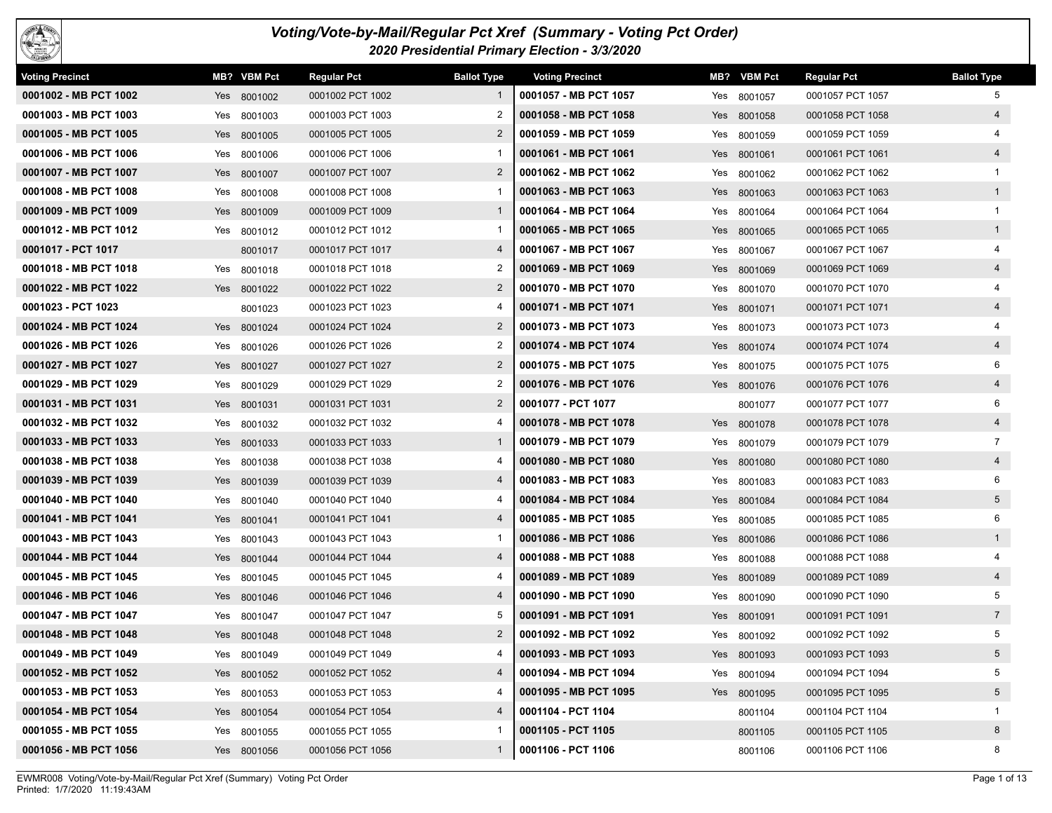

## *Voting/Vote-by-Mail/Regular Pct Xref (Summary - Voting Pct Order) 2020 Presidential Primary Election - 3/3/2020*

| <b>Voting Precinct</b> |     | MB? VBM Pct | <b>Regular Pct</b> | <b>Ballot Type</b> | <b>Voting Precinct</b> |     | MB? VBM Pct | <b>Regular Pct</b> | <b>Ballot Type</b> |
|------------------------|-----|-------------|--------------------|--------------------|------------------------|-----|-------------|--------------------|--------------------|
| 0001002 - MB PCT 1002  |     | Yes 8001002 | 0001002 PCT 1002   |                    | 0001057 - MB PCT 1057  |     | Yes 8001057 | 0001057 PCT 1057   | 5                  |
| 0001003 - MB PCT 1003  |     | Yes 8001003 | 0001003 PCT 1003   | 2                  | 0001058 - MB PCT 1058  |     | Yes 8001058 | 0001058 PCT 1058   | $\overline{4}$     |
| 0001005 - MB PCT 1005  |     | Yes 8001005 | 0001005 PCT 1005   | $\overline{2}$     | 0001059 - MB PCT 1059  | Yes | 8001059     | 0001059 PCT 1059   | 4                  |
| 0001006 - MB PCT 1006  |     | Yes 8001006 | 0001006 PCT 1006   |                    | 0001061 - MB PCT 1061  |     | Yes 8001061 | 0001061 PCT 1061   | $\overline{4}$     |
| 0001007 - MB PCT 1007  |     | Yes 8001007 | 0001007 PCT 1007   | $\overline{2}$     | 0001062 - MB PCT 1062  | Yes | 8001062     | 0001062 PCT 1062   | -1                 |
| 0001008 - MB PCT 1008  |     | Yes 8001008 | 0001008 PCT 1008   |                    | 0001063 - MB PCT 1063  |     | Yes 8001063 | 0001063 PCT 1063   | 1                  |
| 0001009 - MB PCT 1009  |     | Yes 8001009 | 0001009 PCT 1009   | 1                  | 0001064 - MB PCT 1064  |     | Yes 8001064 | 0001064 PCT 1064   | $\mathbf{1}$       |
| 0001012 - MB PCT 1012  |     | Yes 8001012 | 0001012 PCT 1012   | -1                 | 0001065 - MB PCT 1065  |     | Yes 8001065 | 0001065 PCT 1065   | 1                  |
| 0001017 - PCT 1017     |     | 8001017     | 0001017 PCT 1017   | 4                  | 0001067 - MB PCT 1067  |     | Yes 8001067 | 0001067 PCT 1067   |                    |
| 0001018 - MB PCT 1018  | Yes | 8001018     | 0001018 PCT 1018   | 2                  | 0001069 - MB PCT 1069  | Yes | 8001069     | 0001069 PCT 1069   | $\overline{4}$     |
| 0001022 - MB PCT 1022  |     | Yes 8001022 | 0001022 PCT 1022   | $\overline{2}$     | 0001070 - MB PCT 1070  |     | Yes 8001070 | 0001070 PCT 1070   |                    |
| 0001023 - PCT 1023     |     | 8001023     | 0001023 PCT 1023   |                    | 0001071 - MB PCT 1071  |     | Yes 8001071 | 0001071 PCT 1071   | $\overline{4}$     |
| 0001024 - MB PCT 1024  |     | Yes 8001024 | 0001024 PCT 1024   | $\overline{2}$     | 0001073 - MB PCT 1073  |     | Yes 8001073 | 0001073 PCT 1073   | 4                  |
| 0001026 - MB PCT 1026  |     | Yes 8001026 | 0001026 PCT 1026   | 2                  | 0001074 - MB PCT 1074  |     | Yes 8001074 | 0001074 PCT 1074   | $\overline{4}$     |
| 0001027 - MB PCT 1027  |     | Yes 8001027 | 0001027 PCT 1027   | $\overline{2}$     | 0001075 - MB PCT 1075  | Yes | 8001075     | 0001075 PCT 1075   | 6                  |
| 0001029 - MB PCT 1029  | Yes | 8001029     | 0001029 PCT 1029   | 2                  | 0001076 - MB PCT 1076  |     | Yes 8001076 | 0001076 PCT 1076   | $\overline{4}$     |
| 0001031 - MB PCT 1031  |     | Yes 8001031 | 0001031 PCT 1031   | $\overline{2}$     | 0001077 - PCT 1077     |     | 8001077     | 0001077 PCT 1077   | 6                  |
| 0001032 - MB PCT 1032  |     | Yes 8001032 | 0001032 PCT 1032   | 4                  | 0001078 - MB PCT 1078  |     | Yes 8001078 | 0001078 PCT 1078   | $\overline{4}$     |
| 0001033 - MB PCT 1033  |     | Yes 8001033 | 0001033 PCT 1033   | -1                 | 0001079 - MB PCT 1079  |     | Yes 8001079 | 0001079 PCT 1079   | $\overline{7}$     |
| 0001038 - MB PCT 1038  | Yes | 8001038     | 0001038 PCT 1038   | 4                  | 0001080 - MB PCT 1080  |     | Yes 8001080 | 0001080 PCT 1080   | $\overline{4}$     |
| 0001039 - MB PCT 1039  |     | Yes 8001039 | 0001039 PCT 1039   | 4                  | 0001083 - MB PCT 1083  | Yes | 8001083     | 0001083 PCT 1083   | 6                  |
| 0001040 - MB PCT 1040  | Yes | 8001040     | 0001040 PCT 1040   |                    | 0001084 - MB PCT 1084  | Yes | 8001084     | 0001084 PCT 1084   | $5^{\circ}$        |
| 0001041 - MB PCT 1041  |     | Yes 8001041 | 0001041 PCT 1041   | 4                  | 0001085 - MB PCT 1085  |     | Yes 8001085 | 0001085 PCT 1085   | 6                  |
| 0001043 - MB PCT 1043  |     | Yes 8001043 | 0001043 PCT 1043   |                    | 0001086 - MB PCT 1086  |     | Yes 8001086 | 0001086 PCT 1086   | 1                  |
| 0001044 - MB PCT 1044  |     | Yes 8001044 | 0001044 PCT 1044   | 4                  | 0001088 - MB PCT 1088  |     | Yes 8001088 | 0001088 PCT 1088   |                    |
| 0001045 - MB PCT 1045  | Yes | 8001045     | 0001045 PCT 1045   |                    | 0001089 - MB PCT 1089  |     | Yes 8001089 | 0001089 PCT 1089   | $\overline{4}$     |
| 0001046 - MB PCT 1046  |     | Yes 8001046 | 0001046 PCT 1046   | 4                  | 0001090 - MB PCT 1090  | Yes | 8001090     | 0001090 PCT 1090   | 5                  |
| 0001047 - MB PCT 1047  |     | Yes 8001047 | 0001047 PCT 1047   | 5                  | 0001091 - MB PCT 1091  |     | Yes 8001091 | 0001091 PCT 1091   | $7\overline{ }$    |
| 0001048 - MB PCT 1048  |     | Yes 8001048 | 0001048 PCT 1048   | $\overline{2}$     | 0001092 - MB PCT 1092  | Yes | 8001092     | 0001092 PCT 1092   | 5                  |
| 0001049 - MB PCT 1049  |     | Yes 8001049 | 0001049 PCT 1049   | 4                  | 0001093 - MB PCT 1093  |     | Yes 8001093 | 0001093 PCT 1093   | $5\overline{)}$    |
| 0001052 - MB PCT 1052  |     | Yes 8001052 | 0001052 PCT 1052   |                    | 0001094 - MB PCT 1094  |     | Yes 8001094 | 0001094 PCT 1094   | 5                  |
| 0001053 - MB PCT 1053  |     | Yes 8001053 | 0001053 PCT 1053   | 4                  | 0001095 - MB PCT 1095  |     | Yes 8001095 | 0001095 PCT 1095   | 5 <sup>5</sup>     |
| 0001054 - MB PCT 1054  |     | Yes 8001054 | 0001054 PCT 1054   | 4                  | 0001104 - PCT 1104     |     | 8001104     | 0001104 PCT 1104   | 1                  |
| 0001055 - MB PCT 1055  |     | Yes 8001055 | 0001055 PCT 1055   |                    | 0001105 - PCT 1105     |     | 8001105     | 0001105 PCT 1105   | 8                  |
| 0001056 - MB PCT 1056  |     | Yes 8001056 | 0001056 PCT 1056   | $\mathbf{1}$       | 0001106 - PCT 1106     |     | 8001106     | 0001106 PCT 1106   | 8                  |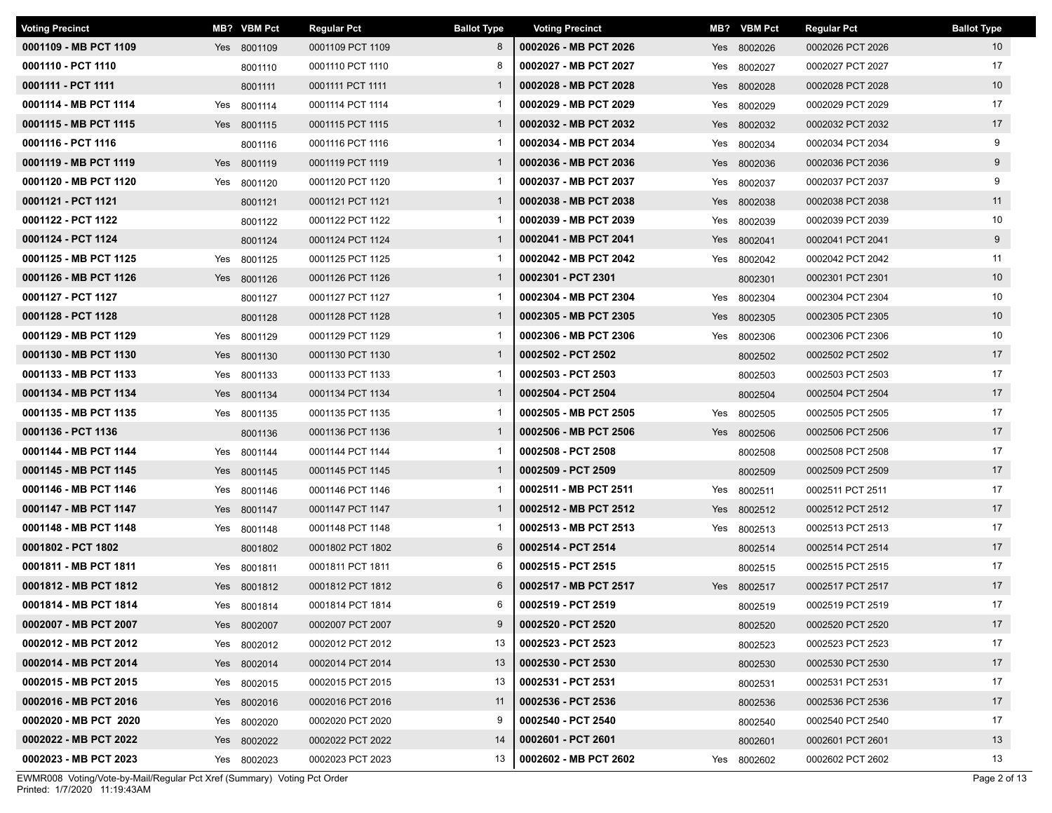| <b>Voting Precinct</b> |     | MB? VBM Pct | <b>Regular Pct</b> | <b>Ballot Type</b> | <b>Voting Precinct</b> |     | MB? VBM Pct | <b>Regular Pct</b> | <b>Ballot Type</b> |
|------------------------|-----|-------------|--------------------|--------------------|------------------------|-----|-------------|--------------------|--------------------|
| 0001109 - MB PCT 1109  |     | Yes 8001109 | 0001109 PCT 1109   | 8                  | 0002026 - MB PCT 2026  |     | Yes 8002026 | 0002026 PCT 2026   | 10 <sup>°</sup>    |
| 0001110 - PCT 1110     |     | 8001110     | 0001110 PCT 1110   | 8                  | 0002027 - MB PCT 2027  | Yes | 8002027     | 0002027 PCT 2027   | 17                 |
| 0001111 - PCT 1111     |     | 8001111     | 0001111 PCT 1111   | $\mathbf{1}$       | 0002028 - MB PCT 2028  |     | Yes 8002028 | 0002028 PCT 2028   | 10 <sup>°</sup>    |
| 0001114 - MB PCT 1114  | Yes | 8001114     | 0001114 PCT 1114   |                    | 0002029 - MB PCT 2029  | Yes | 8002029     | 0002029 PCT 2029   | 17                 |
| 0001115 - MB PCT 1115  |     | Yes 8001115 | 0001115 PCT 1115   | $\mathbf{1}$       | 0002032 - MB PCT 2032  |     | Yes 8002032 | 0002032 PCT 2032   | 17                 |
| 0001116 - PCT 1116     |     | 8001116     | 0001116 PCT 1116   |                    | 0002034 - MB PCT 2034  |     | Yes 8002034 | 0002034 PCT 2034   | 9                  |
| 0001119 - MB PCT 1119  |     | Yes 8001119 | 0001119 PCT 1119   | $\mathbf{1}$       | 0002036 - MB PCT 2036  |     | Yes 8002036 | 0002036 PCT 2036   | 9                  |
| 0001120 - MB PCT 1120  |     | Yes 8001120 | 0001120 PCT 1120   |                    | 0002037 - MB PCT 2037  |     | Yes 8002037 | 0002037 PCT 2037   | 9                  |
| 0001121 - PCT 1121     |     | 8001121     | 0001121 PCT 1121   | $\mathbf{1}$       | 0002038 - MB PCT 2038  |     | Yes 8002038 | 0002038 PCT 2038   | 11                 |
| 0001122 - PCT 1122     |     | 8001122     | 0001122 PCT 1122   | $\mathbf{1}$       | 0002039 - MB PCT 2039  |     | Yes 8002039 | 0002039 PCT 2039   | 10                 |
| 0001124 - PCT 1124     |     | 8001124     | 0001124 PCT 1124   | $\mathbf{1}$       | 0002041 - MB PCT 2041  |     | Yes 8002041 | 0002041 PCT 2041   | 9                  |
| 0001125 - MB PCT 1125  |     | Yes 8001125 | 0001125 PCT 1125   | $\mathbf{1}$       | 0002042 - MB PCT 2042  |     | Yes 8002042 | 0002042 PCT 2042   | 11                 |
| 0001126 - MB PCT 1126  |     | Yes 8001126 | 0001126 PCT 1126   | $\mathbf{1}$       | 0002301 - PCT 2301     |     | 8002301     | 0002301 PCT 2301   | 10 <sup>°</sup>    |
| 0001127 - PCT 1127     |     | 8001127     | 0001127 PCT 1127   | -1                 | 0002304 - MB PCT 2304  | Yes | 8002304     | 0002304 PCT 2304   | 10                 |
| 0001128 - PCT 1128     |     | 8001128     | 0001128 PCT 1128   | $\mathbf{1}$       | 0002305 - MB PCT 2305  |     | Yes 8002305 | 0002305 PCT 2305   | 10 <sup>°</sup>    |
| 0001129 - MB PCT 1129  |     | Yes 8001129 | 0001129 PCT 1129   |                    | 0002306 - MB PCT 2306  |     | Yes 8002306 | 0002306 PCT 2306   | 10                 |
| 0001130 - MB PCT 1130  |     | Yes 8001130 | 0001130 PCT 1130   | $\mathbf{1}$       | 0002502 - PCT 2502     |     | 8002502     | 0002502 PCT 2502   | 17                 |
| 0001133 - MB PCT 1133  |     | Yes 8001133 | 0001133 PCT 1133   | -1                 | 0002503 - PCT 2503     |     | 8002503     | 0002503 PCT 2503   | 17                 |
| 0001134 - MB PCT 1134  |     | Yes 8001134 | 0001134 PCT 1134   | $\mathbf{1}$       | 0002504 - PCT 2504     |     | 8002504     | 0002504 PCT 2504   | 17                 |
| 0001135 - MB PCT 1135  |     | Yes 8001135 | 0001135 PCT 1135   |                    | 0002505 - MB PCT 2505  |     | Yes 8002505 | 0002505 PCT 2505   | 17                 |
| 0001136 - PCT 1136     |     | 8001136     | 0001136 PCT 1136   | $\mathbf{1}$       | 0002506 - MB PCT 2506  |     | Yes 8002506 | 0002506 PCT 2506   | 17                 |
| 0001144 - MB PCT 1144  |     | Yes 8001144 | 0001144 PCT 1144   | -1                 | 0002508 - PCT 2508     |     | 8002508     | 0002508 PCT 2508   | 17                 |
| 0001145 - MB PCT 1145  |     | Yes 8001145 | 0001145 PCT 1145   | $\mathbf{1}$       | 0002509 - PCT 2509     |     | 8002509     | 0002509 PCT 2509   | 17                 |
| 0001146 - MB PCT 1146  |     | Yes 8001146 | 0001146 PCT 1146   | $\mathbf{1}$       | 0002511 - MB PCT 2511  |     | Yes 8002511 | 0002511 PCT 2511   | 17                 |
| 0001147 - MB PCT 1147  |     | Yes 8001147 | 0001147 PCT 1147   | $\mathbf{1}$       | 0002512 - MB PCT 2512  |     | Yes 8002512 | 0002512 PCT 2512   | 17                 |
| 0001148 - MB PCT 1148  | Yes | 8001148     | 0001148 PCT 1148   | -1                 | 0002513 - MB PCT 2513  | Yes | 8002513     | 0002513 PCT 2513   | 17                 |
| 0001802 - PCT 1802     |     | 8001802     | 0001802 PCT 1802   | 6                  | 0002514 - PCT 2514     |     | 8002514     | 0002514 PCT 2514   | 17                 |
| 0001811 - MB PCT 1811  | Yes | 8001811     | 0001811 PCT 1811   | 6                  | 0002515 - PCT 2515     |     | 8002515     | 0002515 PCT 2515   | 17                 |
| 0001812 - MB PCT 1812  |     | Yes 8001812 | 0001812 PCT 1812   | 6                  | 0002517 - MB PCT 2517  |     | Yes 8002517 | 0002517 PCT 2517   | 17                 |
| 0001814 - MB PCT 1814  |     | Yes 8001814 | 0001814 PCT 1814   | 6                  | 0002519 - PCT 2519     |     | 8002519     | 0002519 PCT 2519   | 17                 |
| 0002007 - MB PCT 2007  |     | Yes 8002007 | 0002007 PCT 2007   | 9                  | 0002520 - PCT 2520     |     | 8002520     | 0002520 PCT 2520   | 17                 |
| 0002012 - MB PCT 2012  |     | Yes 8002012 | 0002012 PCT 2012   | 13                 | 0002523 - PCT 2523     |     | 8002523     | 0002523 PCT 2523   | 17                 |
| 0002014 - MB PCT 2014  |     | Yes 8002014 | 0002014 PCT 2014   | 13                 | 0002530 - PCT 2530     |     | 8002530     | 0002530 PCT 2530   | 17                 |
| 0002015 - MB PCT 2015  |     | Yes 8002015 | 0002015 PCT 2015   | 13                 | 0002531 - PCT 2531     |     | 8002531     | 0002531 PCT 2531   | 17                 |
| 0002016 - MB PCT 2016  |     | Yes 8002016 | 0002016 PCT 2016   | 11                 | 0002536 - PCT 2536     |     | 8002536     | 0002536 PCT 2536   | 17                 |
| 0002020 - MB PCT 2020  |     | Yes 8002020 | 0002020 PCT 2020   | 9                  | 0002540 - PCT 2540     |     | 8002540     | 0002540 PCT 2540   | 17                 |
| 0002022 - MB PCT 2022  |     | Yes 8002022 | 0002022 PCT 2022   | 14                 | 0002601 - PCT 2601     |     | 8002601     | 0002601 PCT 2601   | 13                 |
| 0002023 - MB PCT 2023  |     | Yes 8002023 | 0002023 PCT 2023   | 13                 | 0002602 - MB PCT 2602  |     | Yes 8002602 | 0002602 PCT 2602   | 13                 |

Printed: 1/7/2020 11:19:43AM EWMR008 Voting/Vote-by-Mail/Regular Pct Xref (Summary) Voting Pct Order Page 2 of 13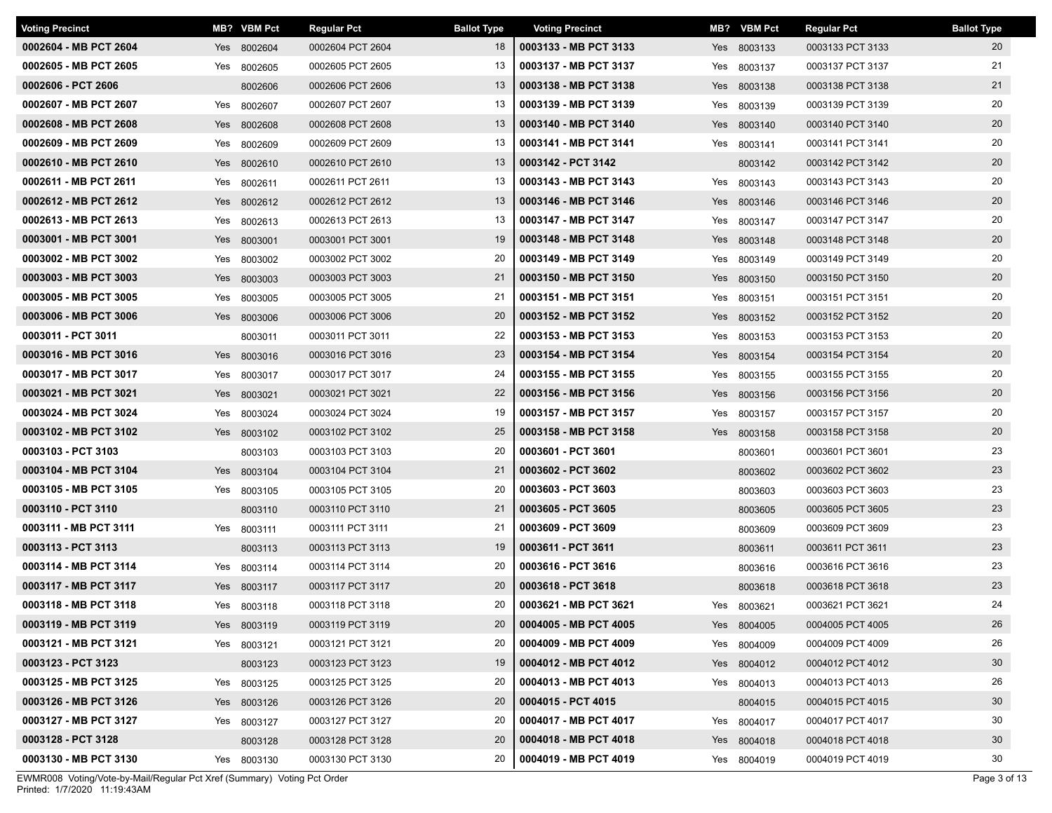| <b>Voting Precinct</b> |     | MB? VBM Pct | <b>Regular Pct</b> | <b>Ballot Type</b> | <b>Voting Precinct</b> |     | MB? VBM Pct | <b>Regular Pct</b> | <b>Ballot Type</b> |
|------------------------|-----|-------------|--------------------|--------------------|------------------------|-----|-------------|--------------------|--------------------|
| 0002604 - MB PCT 2604  |     | Yes 8002604 | 0002604 PCT 2604   | 18                 | 0003133 - MB PCT 3133  |     | Yes 8003133 | 0003133 PCT 3133   | 20                 |
| 0002605 - MB PCT 2605  | Yes | 8002605     | 0002605 PCT 2605   | 13                 | 0003137 - MB PCT 3137  | Yes | 8003137     | 0003137 PCT 3137   | 21                 |
| 0002606 - PCT 2606     |     | 8002606     | 0002606 PCT 2606   | 13                 | 0003138 - MB PCT 3138  |     | Yes 8003138 | 0003138 PCT 3138   | 21                 |
| 0002607 - MB PCT 2607  | Yes | 8002607     | 0002607 PCT 2607   | 13                 | 0003139 - MB PCT 3139  | Yes | 8003139     | 0003139 PCT 3139   | 20                 |
| 0002608 - MB PCT 2608  |     | Yes 8002608 | 0002608 PCT 2608   | 13                 | 0003140 - MB PCT 3140  |     | Yes 8003140 | 0003140 PCT 3140   | 20                 |
| 0002609 - MB PCT 2609  |     | Yes 8002609 | 0002609 PCT 2609   | 13                 | 0003141 - MB PCT 3141  |     | Yes 8003141 | 0003141 PCT 3141   | 20                 |
| 0002610 - MB PCT 2610  | Yes | 8002610     | 0002610 PCT 2610   | 13                 | 0003142 - PCT 3142     |     | 8003142     | 0003142 PCT 3142   | 20                 |
| 0002611 - MB PCT 2611  | Yes | 8002611     | 0002611 PCT 2611   | 13                 | 0003143 - MB PCT 3143  | Yes | 8003143     | 0003143 PCT 3143   | 20                 |
| 0002612 - MB PCT 2612  | Yes | 8002612     | 0002612 PCT 2612   | 13                 | 0003146 - MB PCT 3146  |     | Yes 8003146 | 0003146 PCT 3146   | 20                 |
| 0002613 - MB PCT 2613  |     | Yes 8002613 | 0002613 PCT 2613   | 13                 | 0003147 - MB PCT 3147  | Yes | 8003147     | 0003147 PCT 3147   | 20                 |
| 0003001 - MB PCT 3001  |     | Yes 8003001 | 0003001 PCT 3001   | 19                 | 0003148 - MB PCT 3148  |     | Yes 8003148 | 0003148 PCT 3148   | 20                 |
| 0003002 - MB PCT 3002  |     | Yes 8003002 | 0003002 PCT 3002   | 20                 | 0003149 - MB PCT 3149  | Yes | 8003149     | 0003149 PCT 3149   | 20                 |
| 0003003 - MB PCT 3003  |     | Yes 8003003 | 0003003 PCT 3003   | 21                 | 0003150 - MB PCT 3150  |     | Yes 8003150 | 0003150 PCT 3150   | 20                 |
| 0003005 - MB PCT 3005  | Yes | 8003005     | 0003005 PCT 3005   | 21                 | 0003151 - MB PCT 3151  | Yes | 8003151     | 0003151 PCT 3151   | 20                 |
| 0003006 - MB PCT 3006  |     | Yes 8003006 | 0003006 PCT 3006   | 20                 | 0003152 - MB PCT 3152  |     | Yes 8003152 | 0003152 PCT 3152   | 20                 |
| 0003011 - PCT 3011     |     | 8003011     | 0003011 PCT 3011   | 22                 | 0003153 - MB PCT 3153  | Yes | 8003153     | 0003153 PCT 3153   | 20                 |
| 0003016 - MB PCT 3016  |     | Yes 8003016 | 0003016 PCT 3016   | 23                 | 0003154 - MB PCT 3154  |     | Yes 8003154 | 0003154 PCT 3154   | 20                 |
| 0003017 - MB PCT 3017  |     | Yes 8003017 | 0003017 PCT 3017   | 24                 | 0003155 - MB PCT 3155  |     | Yes 8003155 | 0003155 PCT 3155   | 20                 |
| 0003021 - MB PCT 3021  | Yes | 8003021     | 0003021 PCT 3021   | 22                 | 0003156 - MB PCT 3156  |     | Yes 8003156 | 0003156 PCT 3156   | 20                 |
| 0003024 - MB PCT 3024  |     | Yes 8003024 | 0003024 PCT 3024   | 19                 | 0003157 - MB PCT 3157  | Yes | 8003157     | 0003157 PCT 3157   | 20                 |
| 0003102 - MB PCT 3102  |     | Yes 8003102 | 0003102 PCT 3102   | 25                 | 0003158 - MB PCT 3158  |     | Yes 8003158 | 0003158 PCT 3158   | 20                 |
| 0003103 - PCT 3103     |     | 8003103     | 0003103 PCT 3103   | 20                 | 0003601 - PCT 3601     |     | 8003601     | 0003601 PCT 3601   | 23                 |
| 0003104 - MB PCT 3104  |     | Yes 8003104 | 0003104 PCT 3104   | 21                 | 0003602 - PCT 3602     |     | 8003602     | 0003602 PCT 3602   | 23                 |
| 0003105 - MB PCT 3105  |     | Yes 8003105 | 0003105 PCT 3105   | 20                 | 0003603 - PCT 3603     |     | 8003603     | 0003603 PCT 3603   | 23                 |
| 0003110 - PCT 3110     |     | 8003110     | 0003110 PCT 3110   | 21                 | 0003605 - PCT 3605     |     | 8003605     | 0003605 PCT 3605   | 23                 |
| 0003111 - MB PCT 3111  |     | Yes 8003111 | 0003111 PCT 3111   | 21                 | 0003609 - PCT 3609     |     | 8003609     | 0003609 PCT 3609   | 23                 |
| 0003113 - PCT 3113     |     | 8003113     | 0003113 PCT 3113   | 19                 | 0003611 - PCT 3611     |     | 8003611     | 0003611 PCT 3611   | 23                 |
| 0003114 - MB PCT 3114  | Yes | 8003114     | 0003114 PCT 3114   | 20                 | 0003616 - PCT 3616     |     | 8003616     | 0003616 PCT 3616   | 23                 |
| 0003117 - MB PCT 3117  |     | Yes 8003117 | 0003117 PCT 3117   | 20                 | 0003618 - PCT 3618     |     | 8003618     | 0003618 PCT 3618   | 23                 |
| 0003118 - MB PCT 3118  |     | Yes 8003118 | 0003118 PCT 3118   | 20                 | 0003621 - MB PCT 3621  |     | Yes 8003621 | 0003621 PCT 3621   | 24                 |
| 0003119 - MB PCT 3119  |     | Yes 8003119 | 0003119 PCT 3119   | 20                 | 0004005 - MB PCT 4005  |     | Yes 8004005 | 0004005 PCT 4005   | 26                 |
| 0003121 - MB PCT 3121  |     | Yes 8003121 | 0003121 PCT 3121   | 20                 | 0004009 - MB PCT 4009  |     | Yes 8004009 | 0004009 PCT 4009   | 26                 |
| 0003123 - PCT 3123     |     | 8003123     | 0003123 PCT 3123   | 19                 | 0004012 - MB PCT 4012  |     | Yes 8004012 | 0004012 PCT 4012   | 30                 |
| 0003125 - MB PCT 3125  |     | Yes 8003125 | 0003125 PCT 3125   | 20                 | 0004013 - MB PCT 4013  |     | Yes 8004013 | 0004013 PCT 4013   | 26                 |
| 0003126 - MB PCT 3126  |     | Yes 8003126 | 0003126 PCT 3126   | 20                 | 0004015 - PCT 4015     |     | 8004015     | 0004015 PCT 4015   | 30                 |
| 0003127 - MB PCT 3127  |     | Yes 8003127 | 0003127 PCT 3127   | 20                 | 0004017 - MB PCT 4017  |     | Yes 8004017 | 0004017 PCT 4017   | 30                 |
| 0003128 - PCT 3128     |     | 8003128     | 0003128 PCT 3128   | 20                 | 0004018 - MB PCT 4018  |     | Yes 8004018 | 0004018 PCT 4018   | 30                 |
| 0003130 - MB PCT 3130  |     | Yes 8003130 | 0003130 PCT 3130   | 20                 | 0004019 - MB PCT 4019  |     | Yes 8004019 | 0004019 PCT 4019   | 30                 |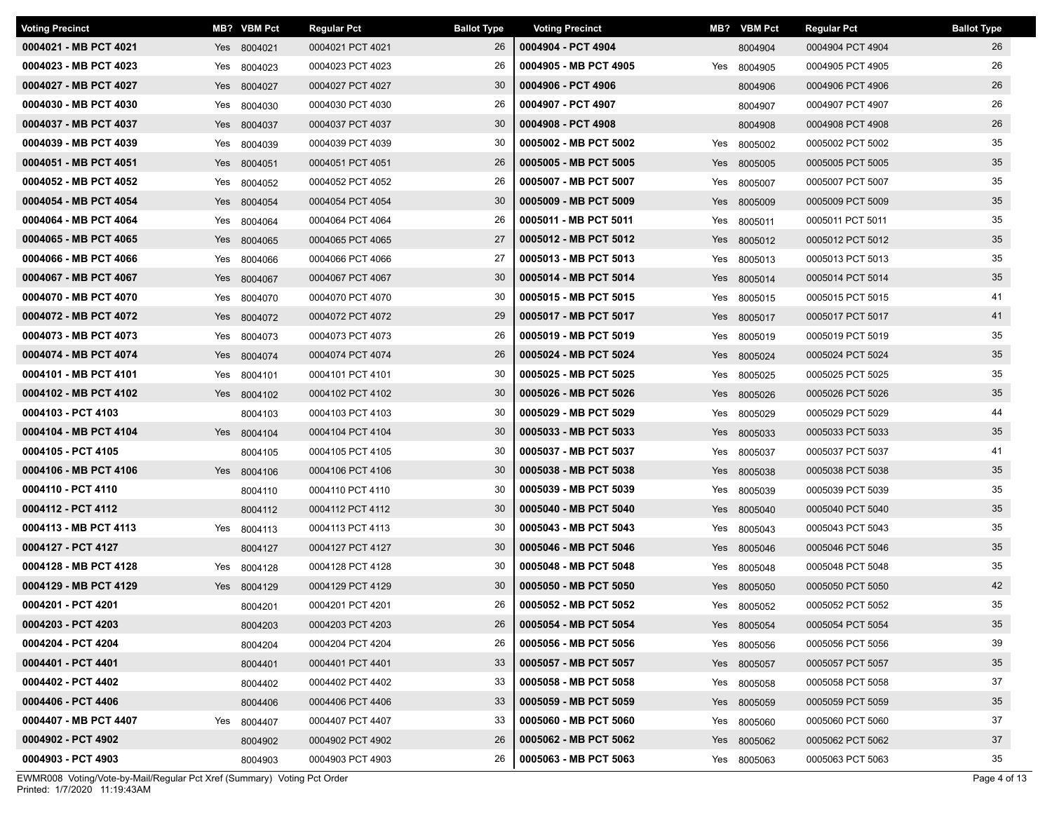| <b>Voting Precinct</b> |     | MB? VBM Pct | <b>Regular Pct</b> | <b>Ballot Type</b> | <b>Voting Precinct</b> |     | MB? VBM Pct | <b>Regular Pct</b> | <b>Ballot Type</b> |
|------------------------|-----|-------------|--------------------|--------------------|------------------------|-----|-------------|--------------------|--------------------|
| 0004021 - MB PCT 4021  |     | Yes 8004021 | 0004021 PCT 4021   | 26                 | 0004904 - PCT 4904     |     | 8004904     | 0004904 PCT 4904   | 26                 |
| 0004023 - MB PCT 4023  | Yes | 8004023     | 0004023 PCT 4023   | 26                 | 0004905 - MB PCT 4905  | Yes | 8004905     | 0004905 PCT 4905   | 26                 |
| 0004027 - MB PCT 4027  |     | Yes 8004027 | 0004027 PCT 4027   | 30                 | 0004906 - PCT 4906     |     | 8004906     | 0004906 PCT 4906   | 26                 |
| 0004030 - MB PCT 4030  | Yes | 8004030     | 0004030 PCT 4030   | 26                 | 0004907 - PCT 4907     |     | 8004907     | 0004907 PCT 4907   | 26                 |
| 0004037 - MB PCT 4037  |     | Yes 8004037 | 0004037 PCT 4037   | 30                 | 0004908 - PCT 4908     |     | 8004908     | 0004908 PCT 4908   | 26                 |
| 0004039 - MB PCT 4039  |     | Yes 8004039 | 0004039 PCT 4039   | 30                 | 0005002 - MB PCT 5002  |     | Yes 8005002 | 0005002 PCT 5002   | 35                 |
| 0004051 - MB PCT 4051  |     | Yes 8004051 | 0004051 PCT 4051   | 26                 | 0005005 - MB PCT 5005  |     | Yes 8005005 | 0005005 PCT 5005   | 35                 |
| 0004052 - MB PCT 4052  | Yes | 8004052     | 0004052 PCT 4052   | 26                 | 0005007 - MB PCT 5007  | Yes | 8005007     | 0005007 PCT 5007   | 35                 |
| 0004054 - MB PCT 4054  | Yes | 8004054     | 0004054 PCT 4054   | 30                 | 0005009 - MB PCT 5009  |     | Yes 8005009 | 0005009 PCT 5009   | 35                 |
| 0004064 - MB PCT 4064  |     | Yes 8004064 | 0004064 PCT 4064   | 26                 | 0005011 - MB PCT 5011  |     | Yes 8005011 | 0005011 PCT 5011   | 35                 |
| 0004065 - MB PCT 4065  |     | Yes 8004065 | 0004065 PCT 4065   | 27                 | 0005012 - MB PCT 5012  |     | Yes 8005012 | 0005012 PCT 5012   | 35                 |
| 0004066 - MB PCT 4066  | Yes | 8004066     | 0004066 PCT 4066   | 27                 | 0005013 - MB PCT 5013  |     | Yes 8005013 | 0005013 PCT 5013   | 35                 |
| 0004067 - MB PCT 4067  |     | Yes 8004067 | 0004067 PCT 4067   | 30                 | 0005014 - MB PCT 5014  |     | Yes 8005014 | 0005014 PCT 5014   | 35                 |
| 0004070 - MB PCT 4070  | Yes | 8004070     | 0004070 PCT 4070   | 30                 | 0005015 - MB PCT 5015  | Yes | 8005015     | 0005015 PCT 5015   | 41                 |
| 0004072 - MB PCT 4072  |     | Yes 8004072 | 0004072 PCT 4072   | 29                 | 0005017 - MB PCT 5017  |     | Yes 8005017 | 0005017 PCT 5017   | 41                 |
| 0004073 - MB PCT 4073  | Yes | 8004073     | 0004073 PCT 4073   | 26                 | 0005019 - MB PCT 5019  | Yes | 8005019     | 0005019 PCT 5019   | 35                 |
| 0004074 - MB PCT 4074  |     | Yes 8004074 | 0004074 PCT 4074   | 26                 | 0005024 - MB PCT 5024  |     | Yes 8005024 | 0005024 PCT 5024   | 35                 |
| 0004101 - MB PCT 4101  |     | Yes 8004101 | 0004101 PCT 4101   | 30                 | 0005025 - MB PCT 5025  |     | Yes 8005025 | 0005025 PCT 5025   | 35                 |
| 0004102 - MB PCT 4102  |     | Yes 8004102 | 0004102 PCT 4102   | 30                 | 0005026 - MB PCT 5026  |     | Yes 8005026 | 0005026 PCT 5026   | 35                 |
| 0004103 - PCT 4103     |     | 8004103     | 0004103 PCT 4103   | 30                 | 0005029 - MB PCT 5029  |     | Yes 8005029 | 0005029 PCT 5029   | 44                 |
| 0004104 - MB PCT 4104  |     | Yes 8004104 | 0004104 PCT 4104   | 30                 | 0005033 - MB PCT 5033  |     | Yes 8005033 | 0005033 PCT 5033   | 35                 |
| 0004105 - PCT 4105     |     | 8004105     | 0004105 PCT 4105   | 30                 | 0005037 - MB PCT 5037  |     | Yes 8005037 | 0005037 PCT 5037   | 41                 |
| 0004106 - MB PCT 4106  |     | Yes 8004106 | 0004106 PCT 4106   | 30                 | 0005038 - MB PCT 5038  |     | Yes 8005038 | 0005038 PCT 5038   | 35                 |
| 0004110 - PCT 4110     |     | 8004110     | 0004110 PCT 4110   | 30                 | 0005039 - MB PCT 5039  |     | Yes 8005039 | 0005039 PCT 5039   | 35                 |
| 0004112 - PCT 4112     |     | 8004112     | 0004112 PCT 4112   | 30                 | 0005040 - MB PCT 5040  |     | Yes 8005040 | 0005040 PCT 5040   | 35                 |
| 0004113 - MB PCT 4113  |     | Yes 8004113 | 0004113 PCT 4113   | 30                 | 0005043 - MB PCT 5043  | Yes | 8005043     | 0005043 PCT 5043   | 35                 |
| 0004127 - PCT 4127     |     | 8004127     | 0004127 PCT 4127   | 30                 | 0005046 - MB PCT 5046  |     | Yes 8005046 | 0005046 PCT 5046   | 35                 |
| 0004128 - MB PCT 4128  | Yes | 8004128     | 0004128 PCT 4128   | 30                 | 0005048 - MB PCT 5048  | Yes | 8005048     | 0005048 PCT 5048   | 35                 |
| 0004129 - MB PCT 4129  |     | Yes 8004129 | 0004129 PCT 4129   | 30                 | 0005050 - MB PCT 5050  |     | Yes 8005050 | 0005050 PCT 5050   | 42                 |
| 0004201 - PCT 4201     |     | 8004201     | 0004201 PCT 4201   | 26                 | 0005052 - MB PCT 5052  |     | Yes 8005052 | 0005052 PCT 5052   | 35                 |
| 0004203 - PCT 4203     |     | 8004203     | 0004203 PCT 4203   | 26                 | 0005054 - MB PCT 5054  |     | Yes 8005054 | 0005054 PCT 5054   | 35                 |
| 0004204 - PCT 4204     |     | 8004204     | 0004204 PCT 4204   | 26                 | 0005056 - MB PCT 5056  |     | Yes 8005056 | 0005056 PCT 5056   | 39                 |
| 0004401 - PCT 4401     |     | 8004401     | 0004401 PCT 4401   | 33                 | 0005057 - MB PCT 5057  |     | Yes 8005057 | 0005057 PCT 5057   | 35                 |
| 0004402 - PCT 4402     |     | 8004402     | 0004402 PCT 4402   | 33                 | 0005058 - MB PCT 5058  |     | Yes 8005058 | 0005058 PCT 5058   | 37                 |
| 0004406 - PCT 4406     |     | 8004406     | 0004406 PCT 4406   | 33                 | 0005059 - MB PCT 5059  |     | Yes 8005059 | 0005059 PCT 5059   | 35                 |
| 0004407 - MB PCT 4407  |     | Yes 8004407 | 0004407 PCT 4407   | 33                 | 0005060 - MB PCT 5060  |     | Yes 8005060 | 0005060 PCT 5060   | 37                 |
| 0004902 - PCT 4902     |     | 8004902     | 0004902 PCT 4902   | 26                 | 0005062 - MB PCT 5062  |     | Yes 8005062 | 0005062 PCT 5062   | 37                 |
| 0004903 - PCT 4903     |     | 8004903     | 0004903 PCT 4903   | 26                 | 0005063 - MB PCT 5063  |     | Yes 8005063 | 0005063 PCT 5063   | 35                 |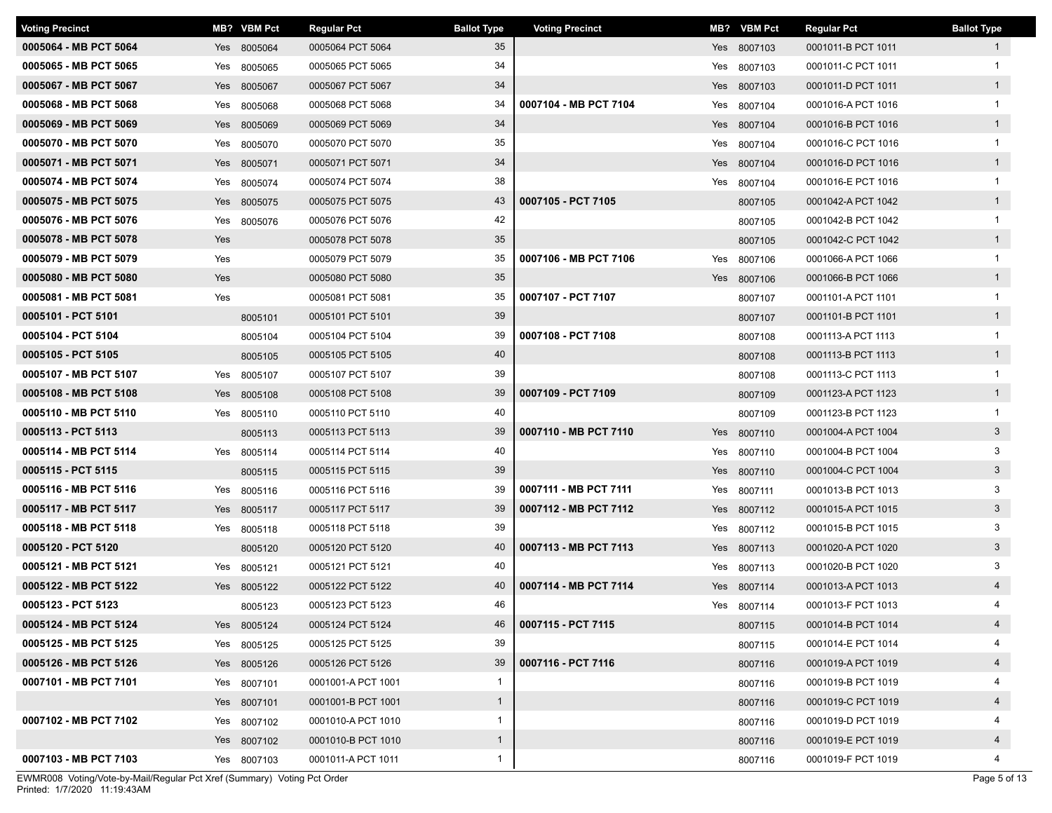| <b>Voting Precinct</b> |     | MB? VBM Pct | <b>Regular Pct</b> | <b>Ballot Type</b> | <b>Voting Precinct</b> | MB? | <b>VBM Pct</b> | <b>Regular Pct</b> | <b>Ballot Type</b> |
|------------------------|-----|-------------|--------------------|--------------------|------------------------|-----|----------------|--------------------|--------------------|
| 0005064 - MB PCT 5064  |     | Yes 8005064 | 0005064 PCT 5064   | 35                 |                        |     | Yes 8007103    | 0001011-B PCT 1011 | $\mathbf{1}$       |
| 0005065 - MB PCT 5065  | Yes | 8005065     | 0005065 PCT 5065   | 34                 |                        | Yes | 8007103        | 0001011-C PCT 1011 | 1                  |
| 0005067 - MB PCT 5067  | Yes | 8005067     | 0005067 PCT 5067   | 34                 |                        |     | Yes 8007103    | 0001011-D PCT 1011 | $\mathbf{1}$       |
| 0005068 - MB PCT 5068  | Yes | 8005068     | 0005068 PCT 5068   | 34                 | 0007104 - MB PCT 7104  | Yes | 8007104        | 0001016-A PCT 1016 |                    |
| 0005069 - MB PCT 5069  |     | Yes 8005069 | 0005069 PCT 5069   | 34                 |                        |     | Yes 8007104    | 0001016-B PCT 1016 | $\overline{1}$     |
| 0005070 - MB PCT 5070  |     | Yes 8005070 | 0005070 PCT 5070   | 35                 |                        |     | Yes 8007104    | 0001016-C PCT 1016 | $\mathbf{1}$       |
| 0005071 - MB PCT 5071  | Yes | 8005071     | 0005071 PCT 5071   | 34                 |                        |     | Yes 8007104    | 0001016-D PCT 1016 | $\mathbf{1}$       |
| 0005074 - MB PCT 5074  | Yes | 8005074     | 0005074 PCT 5074   | 38                 |                        |     | Yes 8007104    | 0001016-E PCT 1016 | $\mathbf{1}$       |
| 0005075 - MB PCT 5075  | Yes | 8005075     | 0005075 PCT 5075   | 43                 | 0007105 - PCT 7105     |     | 8007105        | 0001042-A PCT 1042 | $\mathbf{1}$       |
| 0005076 - MB PCT 5076  |     | Yes 8005076 | 0005076 PCT 5076   | 42                 |                        |     | 8007105        | 0001042-B PCT 1042 | $\mathbf{1}$       |
| 0005078 - MB PCT 5078  | Yes |             | 0005078 PCT 5078   | 35                 |                        |     | 8007105        | 0001042-C PCT 1042 | $\mathbf{1}$       |
| 0005079 - MB PCT 5079  | Yes |             | 0005079 PCT 5079   | 35                 | 0007106 - MB PCT 7106  |     | Yes 8007106    | 0001066-A PCT 1066 | $\mathbf{1}$       |
| 0005080 - MB PCT 5080  | Yes |             | 0005080 PCT 5080   | 35                 |                        |     | Yes 8007106    | 0001066-B PCT 1066 | $\mathbf{1}$       |
| 0005081 - MB PCT 5081  | Yes |             | 0005081 PCT 5081   | 35                 | 0007107 - PCT 7107     |     | 8007107        | 0001101-A PCT 1101 | $\overline{1}$     |
| 0005101 - PCT 5101     |     | 8005101     | 0005101 PCT 5101   | 39                 |                        |     | 8007107        | 0001101-B PCT 1101 | $\mathbf{1}$       |
| 0005104 - PCT 5104     |     | 8005104     | 0005104 PCT 5104   | 39                 | 0007108 - PCT 7108     |     | 8007108        | 0001113-A PCT 1113 |                    |
| 0005105 - PCT 5105     |     | 8005105     | 0005105 PCT 5105   | 40                 |                        |     | 8007108        | 0001113-B PCT 1113 | $\mathbf{1}$       |
| 0005107 - MB PCT 5107  | Yes | 8005107     | 0005107 PCT 5107   | 39                 |                        |     | 8007108        | 0001113-C PCT 1113 | $\mathbf{1}$       |
| 0005108 - MB PCT 5108  | Yes | 8005108     | 0005108 PCT 5108   | 39                 | 0007109 - PCT 7109     |     | 8007109        | 0001123-A PCT 1123 | $\mathbf{1}$       |
| 0005110 - MB PCT 5110  |     | Yes 8005110 | 0005110 PCT 5110   | 40                 |                        |     | 8007109        | 0001123-B PCT 1123 | $\mathbf{1}$       |
| 0005113 - PCT 5113     |     | 8005113     | 0005113 PCT 5113   | 39                 | 0007110 - MB PCT 7110  |     | Yes 8007110    | 0001004-A PCT 1004 | $\mathbf{3}$       |
| 0005114 - MB PCT 5114  |     | Yes 8005114 | 0005114 PCT 5114   | 40                 |                        |     | Yes 8007110    | 0001004-B PCT 1004 | 3                  |
| 0005115 - PCT 5115     |     | 8005115     | 0005115 PCT 5115   | 39                 |                        |     | Yes 8007110    | 0001004-C PCT 1004 | $\mathbf{3}$       |
| 0005116 - MB PCT 5116  |     | Yes 8005116 | 0005116 PCT 5116   | 39                 | 0007111 - MB PCT 7111  |     | Yes 8007111    | 0001013-B PCT 1013 | 3                  |
| 0005117 - MB PCT 5117  |     | Yes 8005117 | 0005117 PCT 5117   | 39                 | 0007112 - MB PCT 7112  |     | Yes 8007112    | 0001015-A PCT 1015 | $3\phantom{.0}$    |
| 0005118 - MB PCT 5118  | Yes | 8005118     | 0005118 PCT 5118   | 39                 |                        | Yes | 8007112        | 0001015-B PCT 1015 | 3                  |
| 0005120 - PCT 5120     |     | 8005120     | 0005120 PCT 5120   | 40                 | 0007113 - MB PCT 7113  |     | Yes 8007113    | 0001020-A PCT 1020 | $\mathbf{3}$       |
| 0005121 - MB PCT 5121  | Yes | 8005121     | 0005121 PCT 5121   | 40                 |                        | Yes | 8007113        | 0001020-B PCT 1020 | 3                  |
| 0005122 - MB PCT 5122  |     | Yes 8005122 | 0005122 PCT 5122   | 40                 | 0007114 - MB PCT 7114  |     | Yes 8007114    | 0001013-A PCT 1013 | $\overline{4}$     |
| 0005123 - PCT 5123     |     | 8005123     | 0005123 PCT 5123   | 46                 |                        |     | Yes 8007114    | 0001013-F PCT 1013 | 4                  |
| 0005124 - MB PCT 5124  |     | Yes 8005124 | 0005124 PCT 5124   | 46                 | 0007115 - PCT 7115     |     | 8007115        | 0001014-B PCT 1014 | 4                  |
| 0005125 - MB PCT 5125  |     | Yes 8005125 | 0005125 PCT 5125   | 39                 |                        |     | 8007115        | 0001014-E PCT 1014 |                    |
| 0005126 - MB PCT 5126  |     | Yes 8005126 | 0005126 PCT 5126   | 39                 | 0007116 - PCT 7116     |     | 8007116        | 0001019-A PCT 1019 | $\overline{4}$     |
| 0007101 - MB PCT 7101  |     | Yes 8007101 | 0001001-A PCT 1001 | $\mathbf{1}$       |                        |     | 8007116        | 0001019-B PCT 1019 |                    |
|                        |     | Yes 8007101 | 0001001-B PCT 1001 | $\mathbf{1}$       |                        |     | 8007116        | 0001019-C PCT 1019 | $\overline{4}$     |
| 0007102 - MB PCT 7102  |     | Yes 8007102 | 0001010-A PCT 1010 | $\mathbf{1}$       |                        |     | 8007116        | 0001019-D PCT 1019 | 4                  |
|                        |     | Yes 8007102 | 0001010-B PCT 1010 | $\mathbf{1}$       |                        |     | 8007116        | 0001019-E PCT 1019 | $\overline{4}$     |
| 0007103 - MB PCT 7103  |     | Yes 8007103 | 0001011-A PCT 1011 | $\mathbf{1}$       |                        |     | 8007116        | 0001019-F PCT 1019 | $\overline{4}$     |

Printed: 1/7/2020 11:19:43AM EWMR008 Voting/Vote-by-Mail/Regular Pct Xref (Summary) Voting Pct Order Page 5 of 13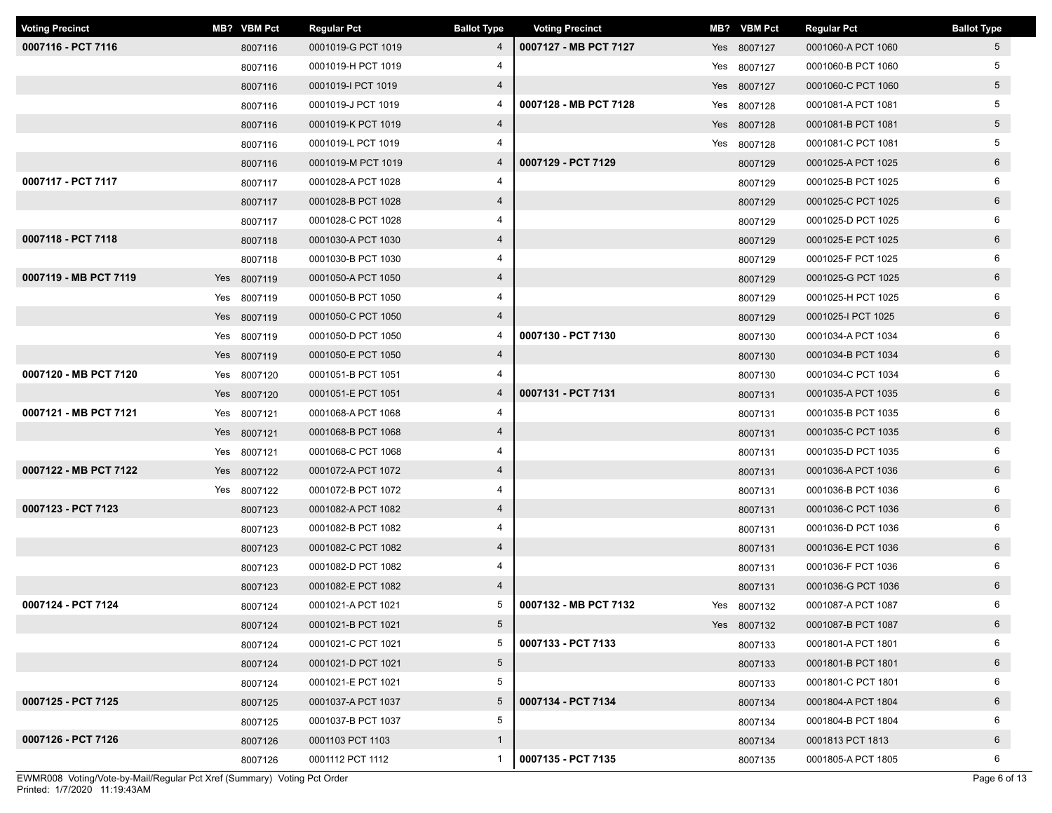| <b>Voting Precinct</b> |     | MB? VBM Pct | <b>Regular Pct</b> | <b>Ballot Type</b> | <b>Voting Precinct</b> | MB? VBM Pct | <b>Regular Pct</b> | <b>Ballot Type</b> |
|------------------------|-----|-------------|--------------------|--------------------|------------------------|-------------|--------------------|--------------------|
| 0007116 - PCT 7116     |     | 8007116     | 0001019-G PCT 1019 | $\overline{4}$     | 0007127 - MB PCT 7127  | Yes 8007127 | 0001060-A PCT 1060 | $5^{\circ}$        |
|                        |     | 8007116     | 0001019-H PCT 1019 |                    |                        | Yes 8007127 | 0001060-B PCT 1060 | 5                  |
|                        |     | 8007116     | 0001019-I PCT 1019 | $\overline{4}$     |                        | Yes 8007127 | 0001060-C PCT 1060 | 5 <sup>5</sup>     |
|                        |     | 8007116     | 0001019-J PCT 1019 | 4                  | 0007128 - MB PCT 7128  | Yes 8007128 | 0001081-A PCT 1081 | 5                  |
|                        |     | 8007116     | 0001019-K PCT 1019 | $\overline{4}$     |                        | Yes 8007128 | 0001081-B PCT 1081 | 5 <sup>5</sup>     |
|                        |     | 8007116     | 0001019-L PCT 1019 | 4                  |                        | Yes 8007128 | 0001081-C PCT 1081 | 5                  |
|                        |     | 8007116     | 0001019-M PCT 1019 | 4                  | 0007129 - PCT 7129     | 8007129     | 0001025-A PCT 1025 | $6\overline{6}$    |
| 0007117 - PCT 7117     |     | 8007117     | 0001028-A PCT 1028 | 4                  |                        | 8007129     | 0001025-B PCT 1025 | 6                  |
|                        |     | 8007117     | 0001028-B PCT 1028 | $\overline{4}$     |                        | 8007129     | 0001025-C PCT 1025 | $6\overline{6}$    |
|                        |     | 8007117     | 0001028-C PCT 1028 | 4                  |                        | 8007129     | 0001025-D PCT 1025 | 6                  |
| 0007118 - PCT 7118     |     | 8007118     | 0001030-A PCT 1030 | $\overline{4}$     |                        | 8007129     | 0001025-E PCT 1025 | 6                  |
|                        |     | 8007118     | 0001030-B PCT 1030 | 4                  |                        | 8007129     | 0001025-F PCT 1025 | 6                  |
| 0007119 - MB PCT 7119  |     | Yes 8007119 | 0001050-A PCT 1050 | $\overline{4}$     |                        | 8007129     | 0001025-G PCT 1025 | 6                  |
|                        | Yes | 8007119     | 0001050-B PCT 1050 | 4                  |                        | 8007129     | 0001025-H PCT 1025 | 6                  |
|                        |     | Yes 8007119 | 0001050-C PCT 1050 | $\overline{4}$     |                        | 8007129     | 0001025-I PCT 1025 | 6                  |
|                        |     | Yes 8007119 | 0001050-D PCT 1050 | 4                  | 0007130 - PCT 7130     | 8007130     | 0001034-A PCT 1034 | 6                  |
|                        |     | Yes 8007119 | 0001050-E PCT 1050 | $\overline{4}$     |                        | 8007130     | 0001034-B PCT 1034 | $6\overline{6}$    |
| 0007120 - MB PCT 7120  |     | Yes 8007120 | 0001051-B PCT 1051 | 4                  |                        | 8007130     | 0001034-C PCT 1034 | 6                  |
|                        |     | Yes 8007120 | 0001051-E PCT 1051 | 4                  | 0007131 - PCT 7131     | 8007131     | 0001035-A PCT 1035 | 6                  |
| 0007121 - MB PCT 7121  |     | Yes 8007121 | 0001068-A PCT 1068 | 4                  |                        | 8007131     | 0001035-B PCT 1035 | 6                  |
|                        |     | Yes 8007121 | 0001068-B PCT 1068 | $\overline{4}$     |                        | 8007131     | 0001035-C PCT 1035 | $6\overline{6}$    |
|                        |     | Yes 8007121 | 0001068-C PCT 1068 | 4                  |                        | 8007131     | 0001035-D PCT 1035 | 6                  |
| 0007122 - MB PCT 7122  |     | Yes 8007122 | 0001072-A PCT 1072 | $\overline{4}$     |                        | 8007131     | 0001036-A PCT 1036 | 6                  |
|                        |     | Yes 8007122 | 0001072-B PCT 1072 | 4                  |                        | 8007131     | 0001036-B PCT 1036 | 6                  |
| 0007123 - PCT 7123     |     | 8007123     | 0001082-A PCT 1082 | $\overline{4}$     |                        | 8007131     | 0001036-C PCT 1036 | $6\overline{6}$    |
|                        |     | 8007123     | 0001082-B PCT 1082 | 4                  |                        | 8007131     | 0001036-D PCT 1036 | 6                  |
|                        |     | 8007123     | 0001082-C PCT 1082 | $\overline{4}$     |                        | 8007131     | 0001036-E PCT 1036 | 6                  |
|                        |     | 8007123     | 0001082-D PCT 1082 | 4                  |                        | 8007131     | 0001036-F PCT 1036 | 6                  |
|                        |     | 8007123     | 0001082-E PCT 1082 | $\overline{4}$     |                        | 8007131     | 0001036-G PCT 1036 | $6\overline{6}$    |
| 0007124 - PCT 7124     |     | 8007124     | 0001021-A PCT 1021 | 5                  | 0007132 - MB PCT 7132  | Yes 8007132 | 0001087-A PCT 1087 | 6                  |
|                        |     | 8007124     | 0001021-B PCT 1021 | $5\overline{)}$    |                        | Yes 8007132 | 0001087-B PCT 1087 | 6                  |
|                        |     | 8007124     | 0001021-C PCT 1021 | 5                  | 0007133 - PCT 7133     | 8007133     | 0001801-A PCT 1801 | 6                  |
|                        |     | 8007124     | 0001021-D PCT 1021 | $5\phantom{.0}$    |                        | 8007133     | 0001801-B PCT 1801 | 6                  |
|                        |     | 8007124     | 0001021-E PCT 1021 | $5\phantom{.0}$    |                        | 8007133     | 0001801-C PCT 1801 | 6                  |
| 0007125 - PCT 7125     |     | 8007125     | 0001037-A PCT 1037 | $5\overline{)}$    | 0007134 - PCT 7134     | 8007134     | 0001804-A PCT 1804 | 6                  |
|                        |     | 8007125     | 0001037-B PCT 1037 | 5                  |                        | 8007134     | 0001804-B PCT 1804 | 6                  |
| 0007126 - PCT 7126     |     | 8007126     | 0001103 PCT 1103   | $\mathbf{1}$       |                        | 8007134     | 0001813 PCT 1813   | 6                  |
|                        |     | 8007126     | 0001112 PCT 1112   | $\mathbf{1}$       | 0007135 - PCT 7135     | 8007135     | 0001805-A PCT 1805 | 6                  |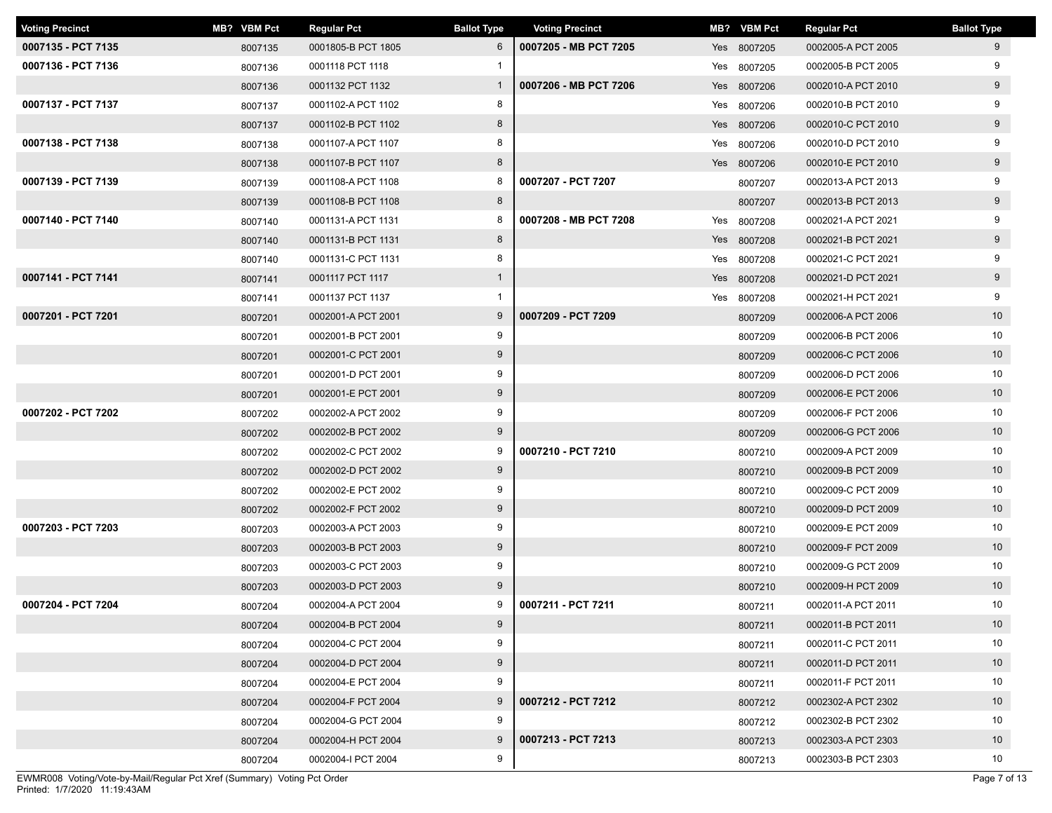| <b>Voting Precinct</b> | MB? VBM Pct | <b>Regular Pct</b> | <b>Ballot Type</b> | <b>Voting Precinct</b> | MB? VBM Pct | <b>Regular Pct</b> | <b>Ballot Type</b> |
|------------------------|-------------|--------------------|--------------------|------------------------|-------------|--------------------|--------------------|
| 0007135 - PCT 7135     | 8007135     | 0001805-B PCT 1805 | 6                  | 0007205 - MB PCT 7205  | Yes 8007205 | 0002005-A PCT 2005 | 9                  |
| 0007136 - PCT 7136     | 8007136     | 0001118 PCT 1118   |                    |                        | Yes 8007205 | 0002005-B PCT 2005 | 9                  |
|                        | 8007136     | 0001132 PCT 1132   | $\overline{1}$     | 0007206 - MB PCT 7206  | Yes 8007206 | 0002010-A PCT 2010 | 9                  |
| 0007137 - PCT 7137     | 8007137     | 0001102-A PCT 1102 | 8                  |                        | Yes 8007206 | 0002010-B PCT 2010 | 9                  |
|                        | 8007137     | 0001102-B PCT 1102 | 8                  |                        | Yes 8007206 | 0002010-C PCT 2010 | 9                  |
| 0007138 - PCT 7138     | 8007138     | 0001107-A PCT 1107 | 8                  |                        | Yes 8007206 | 0002010-D PCT 2010 | 9                  |
|                        | 8007138     | 0001107-B PCT 1107 | 8                  |                        | Yes 8007206 | 0002010-E PCT 2010 | 9                  |
| 0007139 - PCT 7139     | 8007139     | 0001108-A PCT 1108 | 8                  | 0007207 - PCT 7207     | 8007207     | 0002013-A PCT 2013 | 9                  |
|                        | 8007139     | 0001108-B PCT 1108 | 8                  |                        | 8007207     | 0002013-B PCT 2013 | 9                  |
| 0007140 - PCT 7140     | 8007140     | 0001131-A PCT 1131 | 8                  | 0007208 - MB PCT 7208  | Yes 8007208 | 0002021-A PCT 2021 | 9                  |
|                        | 8007140     | 0001131-B PCT 1131 | 8                  |                        | Yes 8007208 | 0002021-B PCT 2021 | 9                  |
|                        | 8007140     | 0001131-C PCT 1131 | 8                  |                        | Yes 8007208 | 0002021-C PCT 2021 | 9                  |
| 0007141 - PCT 7141     | 8007141     | 0001117 PCT 1117   | $\mathbf{1}$       |                        | Yes 8007208 | 0002021-D PCT 2021 | 9                  |
|                        | 8007141     | 0001137 PCT 1137   | $\mathbf{1}$       |                        | Yes 8007208 | 0002021-H PCT 2021 | 9                  |
| 0007201 - PCT 7201     | 8007201     | 0002001-A PCT 2001 | 9                  | 0007209 - PCT 7209     | 8007209     | 0002006-A PCT 2006 | 10                 |
|                        | 8007201     | 0002001-B PCT 2001 | 9                  |                        | 8007209     | 0002006-B PCT 2006 | 10                 |
|                        | 8007201     | 0002001-C PCT 2001 | 9                  |                        | 8007209     | 0002006-C PCT 2006 | 10 <sup>°</sup>    |
|                        | 8007201     | 0002001-D PCT 2001 | 9                  |                        | 8007209     | 0002006-D PCT 2006 | 10                 |
|                        | 8007201     | 0002001-E PCT 2001 | 9                  |                        | 8007209     | 0002006-E PCT 2006 | 10 <sup>°</sup>    |
| 0007202 - PCT 7202     | 8007202     | 0002002-A PCT 2002 | 9                  |                        | 8007209     | 0002006-F PCT 2006 | 10                 |
|                        | 8007202     | 0002002-B PCT 2002 | 9                  |                        | 8007209     | 0002006-G PCT 2006 | 10 <sup>°</sup>    |
|                        | 8007202     | 0002002-C PCT 2002 | 9                  | 0007210 - PCT 7210     | 8007210     | 0002009-A PCT 2009 | 10                 |
|                        | 8007202     | 0002002-D PCT 2002 | 9                  |                        | 8007210     | 0002009-B PCT 2009 | 10                 |
|                        | 8007202     | 0002002-E PCT 2002 | 9                  |                        | 8007210     | 0002009-C PCT 2009 | 10                 |
|                        | 8007202     | 0002002-F PCT 2002 | 9                  |                        | 8007210     | 0002009-D PCT 2009 | 10 <sup>°</sup>    |
| 0007203 - PCT 7203     | 8007203     | 0002003-A PCT 2003 | 9                  |                        | 8007210     | 0002009-E PCT 2009 | 10                 |
|                        | 8007203     | 0002003-B PCT 2003 | 9                  |                        | 8007210     | 0002009-F PCT 2009 | 10 <sup>°</sup>    |
|                        | 8007203     | 0002003-C PCT 2003 | 9                  |                        | 8007210     | 0002009-G PCT 2009 | 10                 |
|                        | 8007203     | 0002003-D PCT 2003 | 9                  |                        | 8007210     | 0002009-H PCT 2009 | 10 <sup>°</sup>    |
| 0007204 - PCT 7204     | 8007204     | 0002004-A PCT 2004 | 9                  | 0007211 - PCT 7211     | 8007211     | 0002011-A PCT 2011 | 10                 |
|                        | 8007204     | 0002004-B PCT 2004 | 9                  |                        | 8007211     | 0002011-B PCT 2011 | 10                 |
|                        | 8007204     | 0002004-C PCT 2004 | 9                  |                        | 8007211     | 0002011-C PCT 2011 | 10                 |
|                        | 8007204     | 0002004-D PCT 2004 | 9                  |                        | 8007211     | 0002011-D PCT 2011 | 10                 |
|                        | 8007204     | 0002004-E PCT 2004 | 9                  |                        | 8007211     | 0002011-F PCT 2011 | 10                 |
|                        | 8007204     | 0002004-F PCT 2004 | 9                  | 0007212 - PCT 7212     | 8007212     | 0002302-A PCT 2302 | 10                 |
|                        | 8007204     | 0002004-G PCT 2004 | 9                  |                        | 8007212     | 0002302-B PCT 2302 | 10                 |
|                        | 8007204     | 0002004-H PCT 2004 | 9                  | 0007213 - PCT 7213     | 8007213     | 0002303-A PCT 2303 | 10 <sup>°</sup>    |
|                        | 8007204     | 0002004-I PCT 2004 | 9                  |                        | 8007213     | 0002303-B PCT 2303 | 10                 |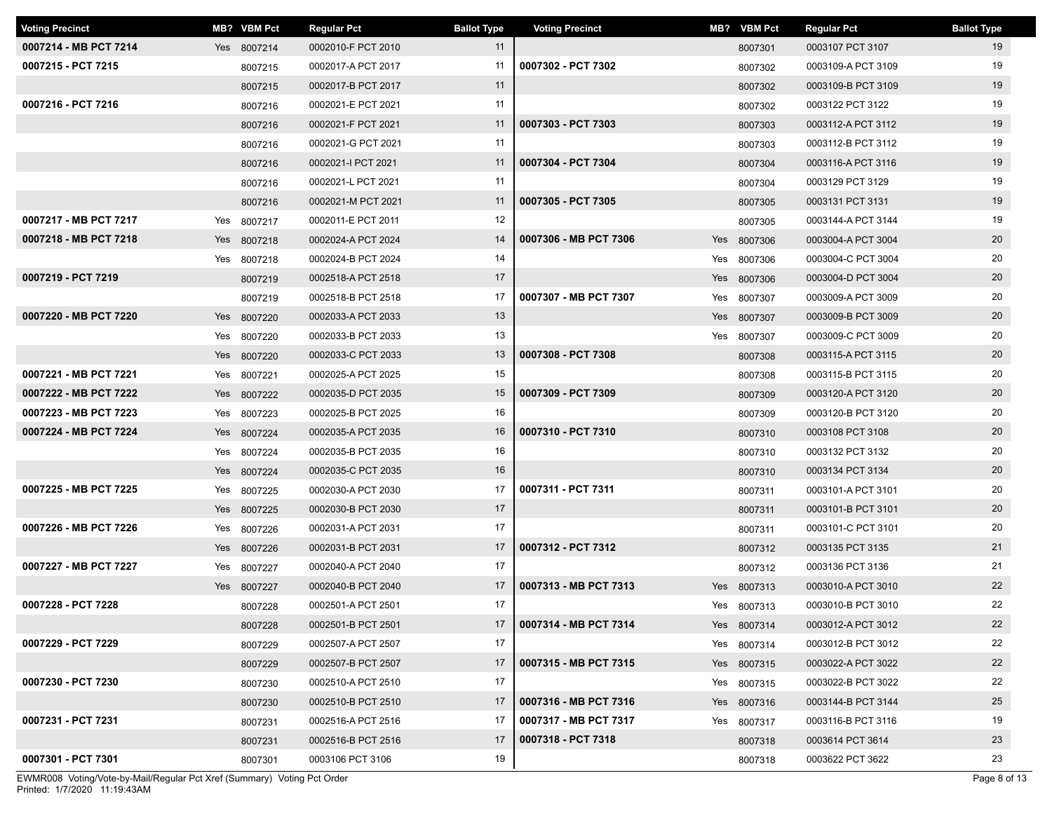| <b>Voting Precinct</b> |     | MB? VBM Pct | <b>Regular Pct</b> | <b>Ballot Type</b> | <b>Voting Precinct</b> | MB? VBM Pct | <b>Regular Pct</b> | <b>Ballot Type</b> |
|------------------------|-----|-------------|--------------------|--------------------|------------------------|-------------|--------------------|--------------------|
| 0007214 - MB PCT 7214  |     | Yes 8007214 | 0002010-F PCT 2010 | 11                 |                        | 8007301     | 0003107 PCT 3107   | 19                 |
| 0007215 - PCT 7215     |     | 8007215     | 0002017-A PCT 2017 | 11                 | 0007302 - PCT 7302     | 8007302     | 0003109-A PCT 3109 | 19                 |
|                        |     | 8007215     | 0002017-B PCT 2017 | 11                 |                        | 8007302     | 0003109-B PCT 3109 | 19                 |
| 0007216 - PCT 7216     |     | 8007216     | 0002021-E PCT 2021 | 11                 |                        | 8007302     | 0003122 PCT 3122   | 19                 |
|                        |     | 8007216     | 0002021-F PCT 2021 | 11                 | 0007303 - PCT 7303     | 8007303     | 0003112-A PCT 3112 | 19                 |
|                        |     | 8007216     | 0002021-G PCT 2021 | 11                 |                        | 8007303     | 0003112-B PCT 3112 | 19                 |
|                        |     | 8007216     | 0002021-I PCT 2021 | 11                 | 0007304 - PCT 7304     | 8007304     | 0003116-A PCT 3116 | 19                 |
|                        |     | 8007216     | 0002021-L PCT 2021 | 11                 |                        | 8007304     | 0003129 PCT 3129   | 19                 |
|                        |     | 8007216     | 0002021-M PCT 2021 | 11                 | 0007305 - PCT 7305     | 8007305     | 0003131 PCT 3131   | 19                 |
| 0007217 - MB PCT 7217  |     | Yes 8007217 | 0002011-E PCT 2011 | 12                 |                        | 8007305     | 0003144-A PCT 3144 | 19                 |
| 0007218 - MB PCT 7218  |     | Yes 8007218 | 0002024-A PCT 2024 | 14                 | 0007306 - MB PCT 7306  | Yes 8007306 | 0003004-A PCT 3004 | 20                 |
|                        |     | Yes 8007218 | 0002024-B PCT 2024 | 14                 |                        | Yes 8007306 | 0003004-C PCT 3004 | 20                 |
| 0007219 - PCT 7219     |     | 8007219     | 0002518-A PCT 2518 | 17                 |                        | Yes 8007306 | 0003004-D PCT 3004 | 20                 |
|                        |     | 8007219     | 0002518-B PCT 2518 | 17                 | 0007307 - MB PCT 7307  | Yes 8007307 | 0003009-A PCT 3009 | 20                 |
| 0007220 - MB PCT 7220  |     | Yes 8007220 | 0002033-A PCT 2033 | 13                 |                        | Yes 8007307 | 0003009-B PCT 3009 | 20                 |
|                        |     | Yes 8007220 | 0002033-B PCT 2033 | 13                 |                        | Yes 8007307 | 0003009-C PCT 3009 | 20                 |
|                        |     | Yes 8007220 | 0002033-C PCT 2033 | 13                 | 0007308 - PCT 7308     | 8007308     | 0003115-A PCT 3115 | 20                 |
| 0007221 - MB PCT 7221  | Yes | 8007221     | 0002025-A PCT 2025 | 15                 |                        | 8007308     | 0003115-B PCT 3115 | 20                 |
| 0007222 - MB PCT 7222  |     | Yes 8007222 | 0002035-D PCT 2035 | 15                 | 0007309 - PCT 7309     | 8007309     | 0003120-A PCT 3120 | 20                 |
| 0007223 - MB PCT 7223  |     | Yes 8007223 | 0002025-B PCT 2025 | 16                 |                        | 8007309     | 0003120-B PCT 3120 | 20                 |
| 0007224 - MB PCT 7224  | Yes | 8007224     | 0002035-A PCT 2035 | 16                 | 0007310 - PCT 7310     | 8007310     | 0003108 PCT 3108   | 20                 |
|                        |     | Yes 8007224 | 0002035-B PCT 2035 | 16                 |                        | 8007310     | 0003132 PCT 3132   | 20                 |
|                        |     | Yes 8007224 | 0002035-C PCT 2035 | 16                 |                        | 8007310     | 0003134 PCT 3134   | 20                 |
| 0007225 - MB PCT 7225  |     | Yes 8007225 | 0002030-A PCT 2030 | 17                 | 0007311 - PCT 7311     | 8007311     | 0003101-A PCT 3101 | 20                 |
|                        |     | Yes 8007225 | 0002030-B PCT 2030 | 17                 |                        | 8007311     | 0003101-B PCT 3101 | 20                 |
| 0007226 - MB PCT 7226  | Yes | 8007226     | 0002031-A PCT 2031 | 17                 |                        | 8007311     | 0003101-C PCT 3101 | 20                 |
|                        | Yes | 8007226     | 0002031-B PCT 2031 | 17                 | 0007312 - PCT 7312     | 8007312     | 0003135 PCT 3135   | 21                 |
| 0007227 - MB PCT 7227  | Yes | 8007227     | 0002040-A PCT 2040 | 17                 |                        | 8007312     | 0003136 PCT 3136   | 21                 |
|                        |     | Yes 8007227 | 0002040-B PCT 2040 | 17                 | 0007313 - MB PCT 7313  | Yes 8007313 | 0003010-A PCT 3010 | 22                 |
| 0007228 - PCT 7228     |     | 8007228     | 0002501-A PCT 2501 | 17                 |                        | Yes 8007313 | 0003010-B PCT 3010 | 22                 |
|                        |     | 8007228     | 0002501-B PCT 2501 | 17                 | 0007314 - MB PCT 7314  | Yes 8007314 | 0003012-A PCT 3012 | 22                 |
| 0007229 - PCT 7229     |     | 8007229     | 0002507-A PCT 2507 | 17                 |                        | Yes 8007314 | 0003012-B PCT 3012 | 22                 |
|                        |     | 8007229     | 0002507-B PCT 2507 | 17                 | 0007315 - MB PCT 7315  | Yes 8007315 | 0003022-A PCT 3022 | 22                 |
| 0007230 - PCT 7230     |     | 8007230     | 0002510-A PCT 2510 | 17                 |                        | Yes 8007315 | 0003022-B PCT 3022 | 22                 |
|                        |     | 8007230     | 0002510-B PCT 2510 | 17                 | 0007316 - MB PCT 7316  | Yes 8007316 | 0003144-B PCT 3144 | 25                 |
| 0007231 - PCT 7231     |     | 8007231     | 0002516-A PCT 2516 | 17                 | 0007317 - MB PCT 7317  | Yes 8007317 | 0003116-B PCT 3116 | 19                 |
|                        |     | 8007231     | 0002516-B PCT 2516 | 17                 | 0007318 - PCT 7318     | 8007318     | 0003614 PCT 3614   | 23                 |
| 0007301 - PCT 7301     |     | 8007301     | 0003106 PCT 3106   | 19                 |                        | 8007318     | 0003622 PCT 3622   | 23                 |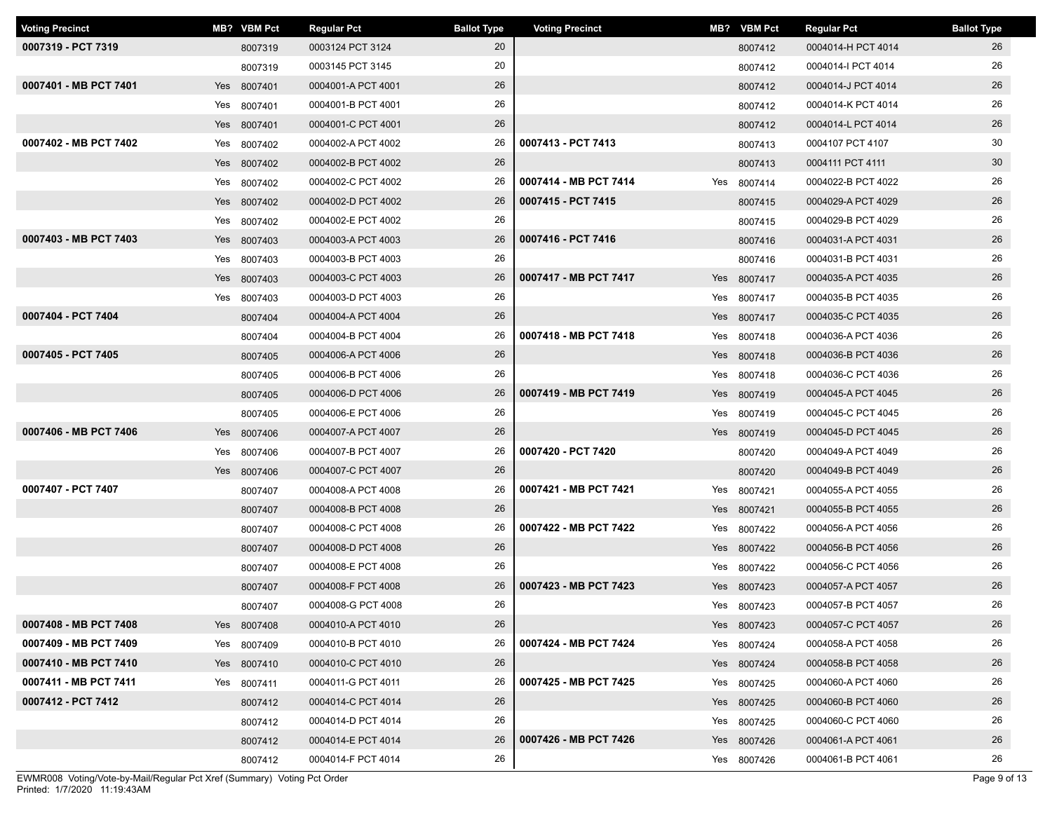| <b>Voting Precinct</b> |     | MB? VBM Pct | <b>Regular Pct</b> | <b>Ballot Type</b> | <b>Voting Precinct</b> | MB? VBM Pct | <b>Regular Pct</b> | <b>Ballot Type</b> |
|------------------------|-----|-------------|--------------------|--------------------|------------------------|-------------|--------------------|--------------------|
| 0007319 - PCT 7319     |     | 8007319     | 0003124 PCT 3124   | 20                 |                        | 8007412     | 0004014-H PCT 4014 | 26                 |
|                        |     | 8007319     | 0003145 PCT 3145   | 20                 |                        | 8007412     | 0004014-I PCT 4014 | 26                 |
| 0007401 - MB PCT 7401  |     | Yes 8007401 | 0004001-A PCT 4001 | 26                 |                        | 8007412     | 0004014-J PCT 4014 | 26                 |
|                        |     | Yes 8007401 | 0004001-B PCT 4001 | 26                 |                        | 8007412     | 0004014-K PCT 4014 | 26                 |
|                        |     | Yes 8007401 | 0004001-C PCT 4001 | 26                 |                        | 8007412     | 0004014-L PCT 4014 | 26                 |
| 0007402 - MB PCT 7402  |     | Yes 8007402 | 0004002-A PCT 4002 | 26                 | 0007413 - PCT 7413     | 8007413     | 0004107 PCT 4107   | 30                 |
|                        |     | Yes 8007402 | 0004002-B PCT 4002 | 26                 |                        | 8007413     | 0004111 PCT 4111   | 30                 |
|                        | Yes | 8007402     | 0004002-C PCT 4002 | 26                 | 0007414 - MB PCT 7414  | Yes 8007414 | 0004022-B PCT 4022 | 26                 |
|                        |     | Yes 8007402 | 0004002-D PCT 4002 | 26                 | 0007415 - PCT 7415     | 8007415     | 0004029-A PCT 4029 | 26                 |
|                        |     | Yes 8007402 | 0004002-E PCT 4002 | 26                 |                        | 8007415     | 0004029-B PCT 4029 | 26                 |
| 0007403 - MB PCT 7403  |     | Yes 8007403 | 0004003-A PCT 4003 | 26                 | 0007416 - PCT 7416     | 8007416     | 0004031-A PCT 4031 | 26                 |
|                        | Yes | 8007403     | 0004003-B PCT 4003 | 26                 |                        | 8007416     | 0004031-B PCT 4031 | 26                 |
|                        |     | Yes 8007403 | 0004003-C PCT 4003 | 26                 | 0007417 - MB PCT 7417  | Yes 8007417 | 0004035-A PCT 4035 | 26                 |
|                        | Yes | 8007403     | 0004003-D PCT 4003 | 26                 |                        | Yes 8007417 | 0004035-B PCT 4035 | 26                 |
| 0007404 - PCT 7404     |     | 8007404     | 0004004-A PCT 4004 | 26                 |                        | Yes 8007417 | 0004035-C PCT 4035 | 26                 |
|                        |     | 8007404     | 0004004-B PCT 4004 | 26                 | 0007418 - MB PCT 7418  | Yes 8007418 | 0004036-A PCT 4036 | 26                 |
| 0007405 - PCT 7405     |     | 8007405     | 0004006-A PCT 4006 | 26                 |                        | Yes 8007418 | 0004036-B PCT 4036 | 26                 |
|                        |     | 8007405     | 0004006-B PCT 4006 | 26                 |                        | Yes 8007418 | 0004036-C PCT 4036 | 26                 |
|                        |     | 8007405     | 0004006-D PCT 4006 | 26                 | 0007419 - MB PCT 7419  | Yes 8007419 | 0004045-A PCT 4045 | 26                 |
|                        |     | 8007405     | 0004006-E PCT 4006 | 26                 |                        | Yes 8007419 | 0004045-C PCT 4045 | 26                 |
| 0007406 - MB PCT 7406  | Yes | 8007406     | 0004007-A PCT 4007 | 26                 |                        | Yes 8007419 | 0004045-D PCT 4045 | 26                 |
|                        | Yes | 8007406     | 0004007-B PCT 4007 | 26                 | 0007420 - PCT 7420     | 8007420     | 0004049-A PCT 4049 | 26                 |
|                        |     | Yes 8007406 | 0004007-C PCT 4007 | 26                 |                        | 8007420     | 0004049-B PCT 4049 | 26                 |
| 0007407 - PCT 7407     |     | 8007407     | 0004008-A PCT 4008 | 26                 | 0007421 - MB PCT 7421  | Yes 8007421 | 0004055-A PCT 4055 | 26                 |
|                        |     | 8007407     | 0004008-B PCT 4008 | 26                 |                        | Yes 8007421 | 0004055-B PCT 4055 | 26                 |
|                        |     | 8007407     | 0004008-C PCT 4008 | 26                 | 0007422 - MB PCT 7422  | Yes 8007422 | 0004056-A PCT 4056 | 26                 |
|                        |     | 8007407     | 0004008-D PCT 4008 | 26                 |                        | Yes 8007422 | 0004056-B PCT 4056 | 26                 |
|                        |     | 8007407     | 0004008-E PCT 4008 | 26                 |                        | Yes 8007422 | 0004056-C PCT 4056 | 26                 |
|                        |     | 8007407     | 0004008-F PCT 4008 | 26                 | 0007423 - MB PCT 7423  | Yes 8007423 | 0004057-A PCT 4057 | 26                 |
|                        |     | 8007407     | 0004008-G PCT 4008 | 26                 |                        | Yes 8007423 | 0004057-B PCT 4057 | 26                 |
| 0007408 - MB PCT 7408  |     | Yes 8007408 | 0004010-A PCT 4010 | 26                 |                        | Yes 8007423 | 0004057-C PCT 4057 | 26                 |
| 0007409 - MB PCT 7409  |     | Yes 8007409 | 0004010-B PCT 4010 | 26                 | 0007424 - MB PCT 7424  | Yes 8007424 | 0004058-A PCT 4058 | 26                 |
| 0007410 - MB PCT 7410  |     | Yes 8007410 | 0004010-C PCT 4010 | 26                 |                        | Yes 8007424 | 0004058-B PCT 4058 | 26                 |
| 0007411 - MB PCT 7411  |     | Yes 8007411 | 0004011-G PCT 4011 | 26                 | 0007425 - MB PCT 7425  | Yes 8007425 | 0004060-A PCT 4060 | 26                 |
| 0007412 - PCT 7412     |     | 8007412     | 0004014-C PCT 4014 | 26                 |                        | Yes 8007425 | 0004060-B PCT 4060 | 26                 |
|                        |     | 8007412     | 0004014-D PCT 4014 | 26                 |                        | Yes 8007425 | 0004060-C PCT 4060 | 26                 |
|                        |     | 8007412     | 0004014-E PCT 4014 | 26                 | 0007426 - MB PCT 7426  | Yes 8007426 | 0004061-A PCT 4061 | 26                 |
|                        |     | 8007412     | 0004014-F PCT 4014 | 26                 |                        | Yes 8007426 | 0004061-B PCT 4061 | 26                 |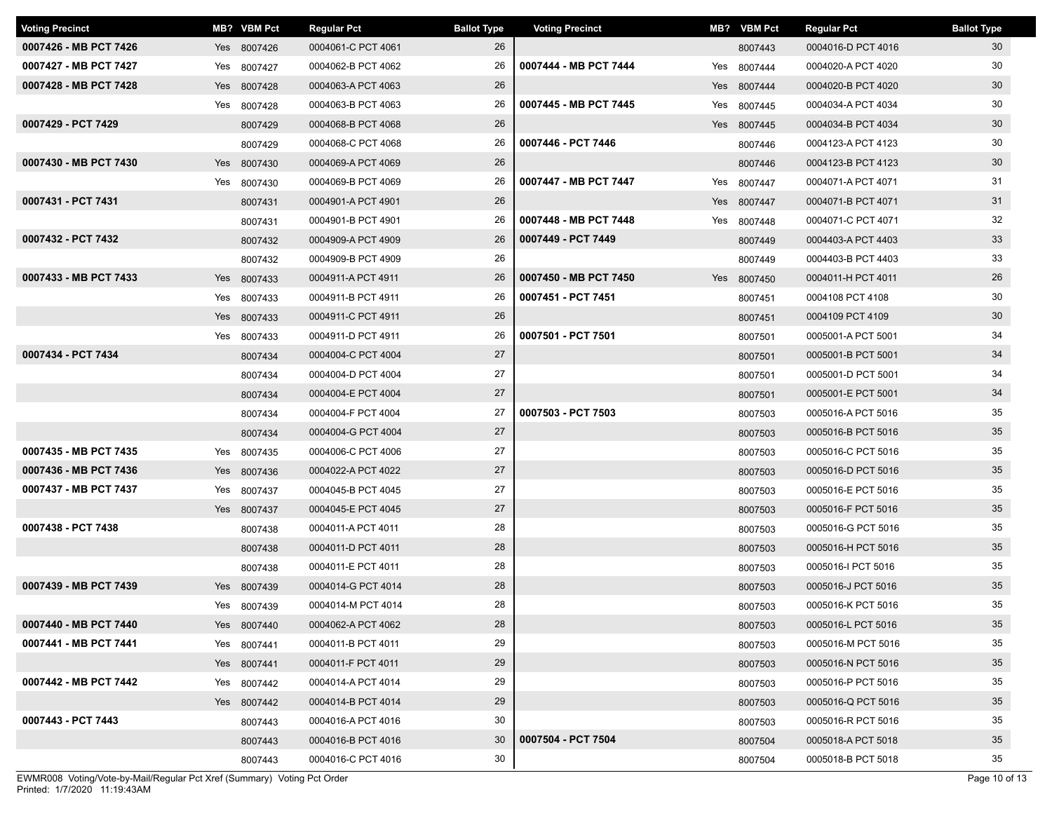| <b>Voting Precinct</b> | MB? VBM Pct | <b>Regular Pct</b> | <b>Ballot Type</b> | <b>Voting Precinct</b> | MB? VBM Pct | <b>Regular Pct</b> | <b>Ballot Type</b> |
|------------------------|-------------|--------------------|--------------------|------------------------|-------------|--------------------|--------------------|
| 0007426 - MB PCT 7426  | Yes 8007426 | 0004061-C PCT 4061 | 26                 |                        | 8007443     | 0004016-D PCT 4016 | 30                 |
| 0007427 - MB PCT 7427  | Yes 8007427 | 0004062-B PCT 4062 | 26                 | 0007444 - MB PCT 7444  | Yes 8007444 | 0004020-A PCT 4020 | 30                 |
| 0007428 - MB PCT 7428  | Yes 8007428 | 0004063-A PCT 4063 | 26                 |                        | Yes 8007444 | 0004020-B PCT 4020 | 30                 |
|                        | Yes 8007428 | 0004063-B PCT 4063 | 26                 | 0007445 - MB PCT 7445  | Yes 8007445 | 0004034-A PCT 4034 | 30                 |
| 0007429 - PCT 7429     | 8007429     | 0004068-B PCT 4068 | 26                 |                        | Yes 8007445 | 0004034-B PCT 4034 | 30                 |
|                        | 8007429     | 0004068-C PCT 4068 | 26                 | 0007446 - PCT 7446     | 8007446     | 0004123-A PCT 4123 | 30                 |
| 0007430 - MB PCT 7430  | Yes 8007430 | 0004069-A PCT 4069 | 26                 |                        | 8007446     | 0004123-B PCT 4123 | 30                 |
|                        | Yes 8007430 | 0004069-B PCT 4069 | 26                 | 0007447 - MB PCT 7447  | Yes 8007447 | 0004071-A PCT 4071 | 31                 |
| 0007431 - PCT 7431     | 8007431     | 0004901-A PCT 4901 | 26                 |                        | Yes 8007447 | 0004071-B PCT 4071 | 31                 |
|                        | 8007431     | 0004901-B PCT 4901 | 26                 | 0007448 - MB PCT 7448  | Yes 8007448 | 0004071-C PCT 4071 | 32                 |
| 0007432 - PCT 7432     | 8007432     | 0004909-A PCT 4909 | 26                 | 0007449 - PCT 7449     | 8007449     | 0004403-A PCT 4403 | 33                 |
|                        | 8007432     | 0004909-B PCT 4909 | 26                 |                        | 8007449     | 0004403-B PCT 4403 | 33                 |
| 0007433 - MB PCT 7433  | Yes 8007433 | 0004911-A PCT 4911 | 26                 | 0007450 - MB PCT 7450  | Yes 8007450 | 0004011-H PCT 4011 | 26                 |
|                        | Yes 8007433 | 0004911-B PCT 4911 | 26                 | 0007451 - PCT 7451     | 8007451     | 0004108 PCT 4108   | 30                 |
|                        | Yes 8007433 | 0004911-C PCT 4911 | 26                 |                        | 8007451     | 0004109 PCT 4109   | 30                 |
|                        | Yes 8007433 | 0004911-D PCT 4911 | 26                 | 0007501 - PCT 7501     | 8007501     | 0005001-A PCT 5001 | 34                 |
| 0007434 - PCT 7434     | 8007434     | 0004004-C PCT 4004 | 27                 |                        | 8007501     | 0005001-B PCT 5001 | 34                 |
|                        | 8007434     | 0004004-D PCT 4004 | 27                 |                        | 8007501     | 0005001-D PCT 5001 | 34                 |
|                        | 8007434     | 0004004-E PCT 4004 | 27                 |                        | 8007501     | 0005001-E PCT 5001 | 34                 |
|                        | 8007434     | 0004004-F PCT 4004 | 27                 | 0007503 - PCT 7503     | 8007503     | 0005016-A PCT 5016 | 35                 |
|                        | 8007434     | 0004004-G PCT 4004 | 27                 |                        | 8007503     | 0005016-B PCT 5016 | 35                 |
| 0007435 - MB PCT 7435  | Yes 8007435 | 0004006-C PCT 4006 | 27                 |                        | 8007503     | 0005016-C PCT 5016 | 35                 |
| 0007436 - MB PCT 7436  | Yes 8007436 | 0004022-A PCT 4022 | 27                 |                        | 8007503     | 0005016-D PCT 5016 | 35                 |
| 0007437 - MB PCT 7437  | Yes 8007437 | 0004045-B PCT 4045 | 27                 |                        | 8007503     | 0005016-E PCT 5016 | 35                 |
|                        | Yes 8007437 | 0004045-E PCT 4045 | 27                 |                        | 8007503     | 0005016-F PCT 5016 | 35                 |
| 0007438 - PCT 7438     | 8007438     | 0004011-A PCT 4011 | 28                 |                        | 8007503     | 0005016-G PCT 5016 | 35                 |
|                        | 8007438     | 0004011-D PCT 4011 | 28                 |                        | 8007503     | 0005016-H PCT 5016 | 35                 |
|                        | 8007438     | 0004011-E PCT 4011 | 28                 |                        | 8007503     | 0005016-I PCT 5016 | 35                 |
| 0007439 - MB PCT 7439  | Yes 8007439 | 0004014-G PCT 4014 | 28                 |                        | 8007503     | 0005016-J PCT 5016 | 35                 |
|                        | Yes 8007439 | 0004014-M PCT 4014 | 28                 |                        | 8007503     | 0005016-K PCT 5016 | 35                 |
| 0007440 - MB PCT 7440  | Yes 8007440 | 0004062-A PCT 4062 | 28                 |                        | 8007503     | 0005016-L PCT 5016 | 35                 |
| 0007441 - MB PCT 7441  | Yes 8007441 | 0004011-B PCT 4011 | 29                 |                        | 8007503     | 0005016-M PCT 5016 | 35                 |
|                        | Yes 8007441 | 0004011-F PCT 4011 | 29                 |                        | 8007503     | 0005016-N PCT 5016 | 35                 |
| 0007442 - MB PCT 7442  | Yes 8007442 | 0004014-A PCT 4014 | 29                 |                        | 8007503     | 0005016-P PCT 5016 | 35                 |
|                        | Yes 8007442 | 0004014-B PCT 4014 | 29                 |                        | 8007503     | 0005016-Q PCT 5016 | 35                 |
| 0007443 - PCT 7443     | 8007443     | 0004016-A PCT 4016 | 30                 |                        | 8007503     | 0005016-R PCT 5016 | 35                 |
|                        | 8007443     | 0004016-B PCT 4016 | 30                 | 0007504 - PCT 7504     | 8007504     | 0005018-A PCT 5018 | 35                 |
|                        | 8007443     | 0004016-C PCT 4016 | 30                 |                        | 8007504     | 0005018-B PCT 5018 | 35                 |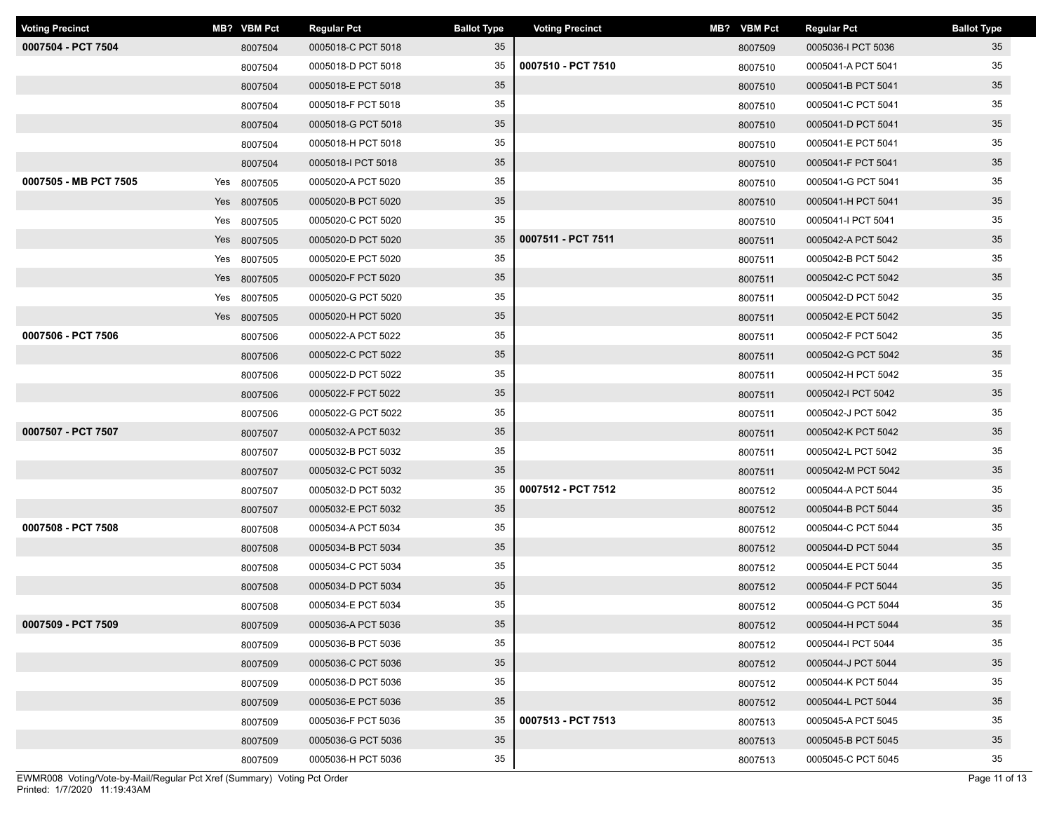| <b>Voting Precinct</b> | MB? VBM Pct | <b>Regular Pct</b> | <b>Ballot Type</b> | <b>Voting Precinct</b> | MB? VBM Pct | <b>Regular Pct</b> | <b>Ballot Type</b> |
|------------------------|-------------|--------------------|--------------------|------------------------|-------------|--------------------|--------------------|
| 0007504 - PCT 7504     | 8007504     | 0005018-C PCT 5018 | 35                 |                        | 8007509     | 0005036-I PCT 5036 | 35                 |
|                        | 8007504     | 0005018-D PCT 5018 | 35                 | 0007510 - PCT 7510     | 8007510     | 0005041-A PCT 5041 | 35                 |
|                        | 8007504     | 0005018-E PCT 5018 | 35                 |                        | 8007510     | 0005041-B PCT 5041 | 35                 |
|                        | 8007504     | 0005018-F PCT 5018 | 35                 |                        | 8007510     | 0005041-C PCT 5041 | 35                 |
|                        | 8007504     | 0005018-G PCT 5018 | 35                 |                        | 8007510     | 0005041-D PCT 5041 | 35                 |
|                        | 8007504     | 0005018-H PCT 5018 | 35                 |                        | 8007510     | 0005041-E PCT 5041 | 35                 |
|                        | 8007504     | 0005018-I PCT 5018 | 35                 |                        | 8007510     | 0005041-F PCT 5041 | 35                 |
| 0007505 - MB PCT 7505  | Yes 8007505 | 0005020-A PCT 5020 | 35                 |                        | 8007510     | 0005041-G PCT 5041 | 35                 |
|                        | Yes 8007505 | 0005020-B PCT 5020 | 35                 |                        | 8007510     | 0005041-H PCT 5041 | 35                 |
|                        | Yes 8007505 | 0005020-C PCT 5020 | 35                 |                        | 8007510     | 0005041-I PCT 5041 | 35                 |
|                        | Yes 8007505 | 0005020-D PCT 5020 | 35                 | 0007511 - PCT 7511     | 8007511     | 0005042-A PCT 5042 | 35                 |
|                        | Yes 8007505 | 0005020-E PCT 5020 | 35                 |                        | 8007511     | 0005042-B PCT 5042 | 35                 |
|                        | Yes 8007505 | 0005020-F PCT 5020 | 35                 |                        | 8007511     | 0005042-C PCT 5042 | 35                 |
|                        | Yes 8007505 | 0005020-G PCT 5020 | 35                 |                        | 8007511     | 0005042-D PCT 5042 | 35                 |
|                        | Yes 8007505 | 0005020-H PCT 5020 | 35                 |                        | 8007511     | 0005042-E PCT 5042 | 35                 |
| 0007506 - PCT 7506     | 8007506     | 0005022-A PCT 5022 | 35                 |                        | 8007511     | 0005042-F PCT 5042 | 35                 |
|                        | 8007506     | 0005022-C PCT 5022 | 35                 |                        | 8007511     | 0005042-G PCT 5042 | 35                 |
|                        | 8007506     | 0005022-D PCT 5022 | 35                 |                        | 8007511     | 0005042-H PCT 5042 | 35                 |
|                        | 8007506     | 0005022-F PCT 5022 | 35                 |                        | 8007511     | 0005042-I PCT 5042 | 35                 |
|                        | 8007506     | 0005022-G PCT 5022 | 35                 |                        | 8007511     | 0005042-J PCT 5042 | 35                 |
| 0007507 - PCT 7507     | 8007507     | 0005032-A PCT 5032 | 35                 |                        | 8007511     | 0005042-K PCT 5042 | 35                 |
|                        | 8007507     | 0005032-B PCT 5032 | 35                 |                        | 8007511     | 0005042-L PCT 5042 | 35                 |
|                        | 8007507     | 0005032-C PCT 5032 | 35                 |                        | 8007511     | 0005042-M PCT 5042 | 35                 |
|                        | 8007507     | 0005032-D PCT 5032 | 35                 | 0007512 - PCT 7512     | 8007512     | 0005044-A PCT 5044 | 35                 |
|                        | 8007507     | 0005032-E PCT 5032 | 35                 |                        | 8007512     | 0005044-B PCT 5044 | 35                 |
| 0007508 - PCT 7508     | 8007508     | 0005034-A PCT 5034 | 35                 |                        | 8007512     | 0005044-C PCT 5044 | 35                 |
|                        | 8007508     | 0005034-B PCT 5034 | 35                 |                        | 8007512     | 0005044-D PCT 5044 | 35                 |
|                        | 8007508     | 0005034-C PCT 5034 | 35                 |                        | 8007512     | 0005044-E PCT 5044 | 35                 |
|                        | 8007508     | 0005034-D PCT 5034 | 35                 |                        | 8007512     | 0005044-F PCT 5044 | 35                 |
|                        | 8007508     | 0005034-E PCT 5034 | 35                 |                        | 8007512     | 0005044-G PCT 5044 | 35                 |
| 0007509 - PCT 7509     | 8007509     | 0005036-A PCT 5036 | 35                 |                        | 8007512     | 0005044-H PCT 5044 | 35                 |
|                        | 8007509     | 0005036-B PCT 5036 | 35                 |                        | 8007512     | 0005044-I PCT 5044 | 35                 |
|                        | 8007509     | 0005036-C PCT 5036 | 35                 |                        | 8007512     | 0005044-J PCT 5044 | 35                 |
|                        | 8007509     | 0005036-D PCT 5036 | 35                 |                        | 8007512     | 0005044-K PCT 5044 | 35                 |
|                        | 8007509     | 0005036-E PCT 5036 | 35                 |                        | 8007512     | 0005044-L PCT 5044 | 35                 |
|                        | 8007509     | 0005036-F PCT 5036 | 35                 | 0007513 - PCT 7513     | 8007513     | 0005045-A PCT 5045 | 35                 |
|                        | 8007509     | 0005036-G PCT 5036 | 35                 |                        | 8007513     | 0005045-B PCT 5045 | 35                 |
|                        | 8007509     | 0005036-H PCT 5036 | 35                 |                        | 8007513     | 0005045-C PCT 5045 | 35                 |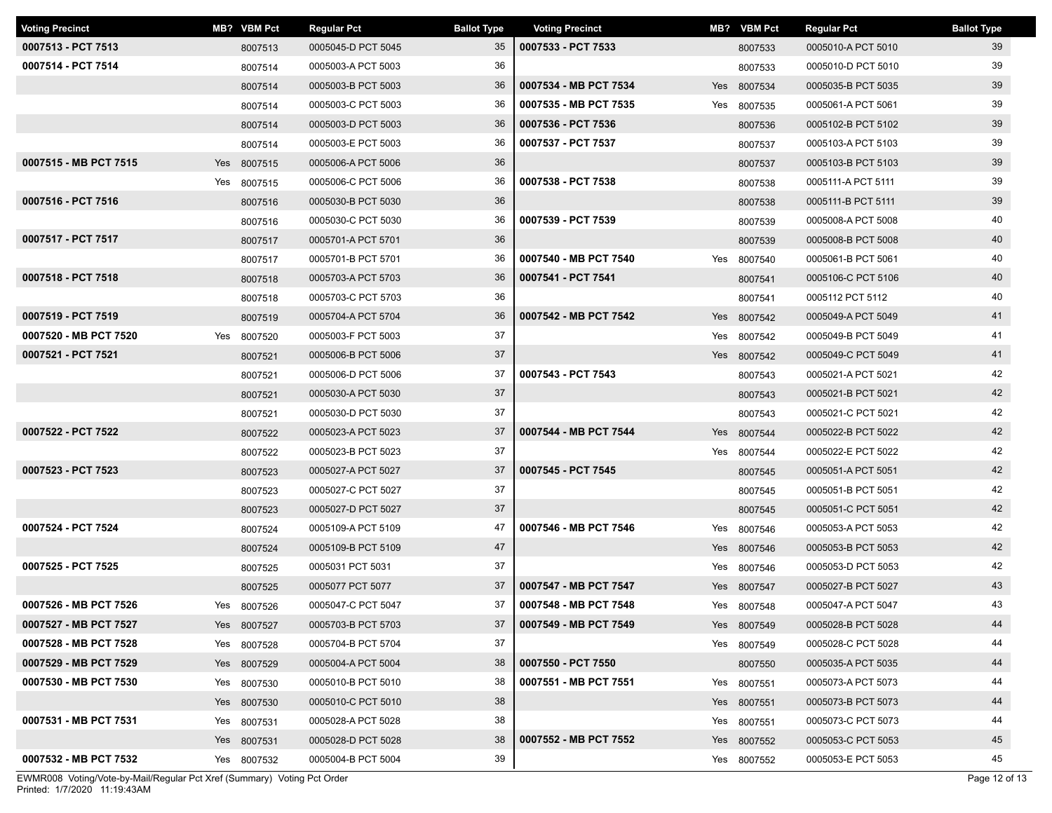| <b>Voting Precinct</b> | MB? VBM Pct | <b>Regular Pct</b> | <b>Ballot Type</b> | <b>Voting Precinct</b> | MB? VBM Pct | <b>Regular Pct</b> | <b>Ballot Type</b> |
|------------------------|-------------|--------------------|--------------------|------------------------|-------------|--------------------|--------------------|
| 0007513 - PCT 7513     | 8007513     | 0005045-D PCT 5045 | 35                 | 0007533 - PCT 7533     | 8007533     | 0005010-A PCT 5010 | 39                 |
| 0007514 - PCT 7514     | 8007514     | 0005003-A PCT 5003 | 36                 |                        | 8007533     | 0005010-D PCT 5010 | 39                 |
|                        | 8007514     | 0005003-B PCT 5003 | 36                 | 0007534 - MB PCT 7534  | Yes 8007534 | 0005035-B PCT 5035 | 39                 |
|                        | 8007514     | 0005003-C PCT 5003 | 36                 | 0007535 - MB PCT 7535  | Yes 8007535 | 0005061-A PCT 5061 | 39                 |
|                        | 8007514     | 0005003-D PCT 5003 | 36                 | 0007536 - PCT 7536     | 8007536     | 0005102-B PCT 5102 | 39                 |
|                        | 8007514     | 0005003-E PCT 5003 | 36                 | 0007537 - PCT 7537     | 8007537     | 0005103-A PCT 5103 | 39                 |
| 0007515 - MB PCT 7515  | Yes 8007515 | 0005006-A PCT 5006 | 36                 |                        | 8007537     | 0005103-B PCT 5103 | 39                 |
|                        | Yes 8007515 | 0005006-C PCT 5006 | 36                 | 0007538 - PCT 7538     | 8007538     | 0005111-A PCT 5111 | 39                 |
| 0007516 - PCT 7516     | 8007516     | 0005030-B PCT 5030 | 36                 |                        | 8007538     | 0005111-B PCT 5111 | 39                 |
|                        | 8007516     | 0005030-C PCT 5030 | 36                 | 0007539 - PCT 7539     | 8007539     | 0005008-A PCT 5008 | 40                 |
| 0007517 - PCT 7517     | 8007517     | 0005701-A PCT 5701 | 36                 |                        | 8007539     | 0005008-B PCT 5008 | 40                 |
|                        | 8007517     | 0005701-B PCT 5701 | 36                 | 0007540 - MB PCT 7540  | Yes 8007540 | 0005061-B PCT 5061 | 40                 |
| 0007518 - PCT 7518     | 8007518     | 0005703-A PCT 5703 | 36                 | 0007541 - PCT 7541     | 8007541     | 0005106-C PCT 5106 | 40                 |
|                        | 8007518     | 0005703-C PCT 5703 | 36                 |                        | 8007541     | 0005112 PCT 5112   | 40                 |
| 0007519 - PCT 7519     | 8007519     | 0005704-A PCT 5704 | 36                 | 0007542 - MB PCT 7542  | Yes 8007542 | 0005049-A PCT 5049 | 41                 |
| 0007520 - MB PCT 7520  | Yes 8007520 | 0005003-F PCT 5003 | 37                 |                        | Yes 8007542 | 0005049-B PCT 5049 | 41                 |
| 0007521 - PCT 7521     | 8007521     | 0005006-B PCT 5006 | 37                 |                        | Yes 8007542 | 0005049-C PCT 5049 | 41                 |
|                        | 8007521     | 0005006-D PCT 5006 | 37                 | 0007543 - PCT 7543     | 8007543     | 0005021-A PCT 5021 | 42                 |
|                        | 8007521     | 0005030-A PCT 5030 | 37                 |                        | 8007543     | 0005021-B PCT 5021 | 42                 |
|                        | 8007521     | 0005030-D PCT 5030 | 37                 |                        | 8007543     | 0005021-C PCT 5021 | 42                 |
| 0007522 - PCT 7522     | 8007522     | 0005023-A PCT 5023 | 37                 | 0007544 - MB PCT 7544  | Yes 8007544 | 0005022-B PCT 5022 | 42                 |
|                        | 8007522     | 0005023-B PCT 5023 | 37                 |                        | Yes 8007544 | 0005022-E PCT 5022 | 42                 |
| 0007523 - PCT 7523     | 8007523     | 0005027-A PCT 5027 | 37                 | 0007545 - PCT 7545     | 8007545     | 0005051-A PCT 5051 | 42                 |
|                        | 8007523     | 0005027-C PCT 5027 | 37                 |                        | 8007545     | 0005051-B PCT 5051 | 42                 |
|                        | 8007523     | 0005027-D PCT 5027 | 37                 |                        | 8007545     | 0005051-C PCT 5051 | 42                 |
| 0007524 - PCT 7524     | 8007524     | 0005109-A PCT 5109 | 47                 | 0007546 - MB PCT 7546  | Yes 8007546 | 0005053-A PCT 5053 | 42                 |
|                        | 8007524     | 0005109-B PCT 5109 | 47                 |                        | Yes 8007546 | 0005053-B PCT 5053 | 42                 |
| 0007525 - PCT 7525     | 8007525     | 0005031 PCT 5031   | 37                 |                        | Yes 8007546 | 0005053-D PCT 5053 | 42                 |
|                        | 8007525     | 0005077 PCT 5077   | 37                 | 0007547 - MB PCT 7547  | Yes 8007547 | 0005027-B PCT 5027 | 43                 |
| 0007526 - MB PCT 7526  | Yes 8007526 | 0005047-C PCT 5047 | 37                 | 0007548 - MB PCT 7548  | Yes 8007548 | 0005047-A PCT 5047 | 43                 |
| 0007527 - MB PCT 7527  | Yes 8007527 | 0005703-B PCT 5703 | 37                 | 0007549 - MB PCT 7549  | Yes 8007549 | 0005028-B PCT 5028 | 44                 |
| 0007528 - MB PCT 7528  | Yes 8007528 | 0005704-B PCT 5704 | 37                 |                        | Yes 8007549 | 0005028-C PCT 5028 | 44                 |
| 0007529 - MB PCT 7529  | Yes 8007529 | 0005004-A PCT 5004 | 38                 | 0007550 - PCT 7550     | 8007550     | 0005035-A PCT 5035 | 44                 |
| 0007530 - MB PCT 7530  | Yes 8007530 | 0005010-B PCT 5010 | 38                 | 0007551 - MB PCT 7551  | Yes 8007551 | 0005073-A PCT 5073 | 44                 |
|                        | Yes 8007530 | 0005010-C PCT 5010 | 38                 |                        | Yes 8007551 | 0005073-B PCT 5073 | 44                 |
| 0007531 - MB PCT 7531  | Yes 8007531 | 0005028-A PCT 5028 | 38                 |                        | Yes 8007551 | 0005073-C PCT 5073 | 44                 |
|                        | Yes 8007531 | 0005028-D PCT 5028 | 38                 | 0007552 - MB PCT 7552  | Yes 8007552 | 0005053-C PCT 5053 | 45                 |
| 0007532 - MB PCT 7532  | Yes 8007532 | 0005004-B PCT 5004 | 39                 |                        | Yes 8007552 | 0005053-E PCT 5053 | 45                 |